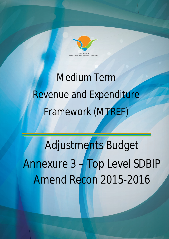

# Medium Term Revenue and Expenditure Framework (MTREF)

Adjustments Budget Annexure 3 – Top Level SDBIP Amend Recon 2015-2016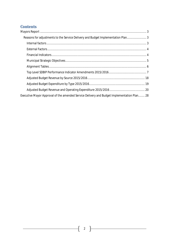# **Contents**

| Reasons for adjustments to the Service Delivery and Budget Implementation Plan             |  |
|--------------------------------------------------------------------------------------------|--|
|                                                                                            |  |
|                                                                                            |  |
|                                                                                            |  |
|                                                                                            |  |
|                                                                                            |  |
|                                                                                            |  |
|                                                                                            |  |
|                                                                                            |  |
|                                                                                            |  |
| Executive Mayor Approval of the amended Service Delivery and Budget Implementation Plan 28 |  |
|                                                                                            |  |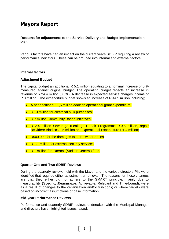# **Mayors Report**

#### **Reasons for adjustments to the Service Delivery and Budget Implementation Plan**

Various factors have had an impact on the current years SDBIP requiring a review of performance indicators. These can be grouped into internal and external factors.

#### **Internal factors**

#### **Adjustment Budget**

The capital budget an additional R 5.1 million equating to a nominal increase of 5 % measured against original budget. The operating budget reflects an increase in revenue of R 24.4 million (3.6%). A decrease in expected service charges income of R 3 million. The expenditure budget shows an increase of R 44.5 million including;

- A net additional 11,5 million addition operational grant expenditure;
- R 13 million for electrical bulk purchases;
- R 7 million Community Based Initiatives,
- R 2.4 million Sewerage (Leakage Repair Programme R 0.5 million, repair Belvidere Biodiscs 0.5 million and Operational Expenditure R1.4 million)
- R500 000 for the damages to storm water drains
- R 1.1 million for external security services
- R 1 million for external (Auditor General) fees.

#### **Quarter One and Two SDBIP Reviews**

During the quarterly reviews held with the Mayor and the various directors PI's were identified that required either adjustment or removal. The reasons for these changes are that they either did not adhere to the SMART principle, mainly due to measurability (Specific, *Measurable*, Achievable, Relevant and Time-bound); were as a result of changes to the organisation and/or functions; or where targets were based on incorrect assumptions or base information.

#### **Mid-year Performance Reviews**

Performance and quarterly SDBIP reviews undertaken with the Municipal Manager and directors have highlighted issues raised.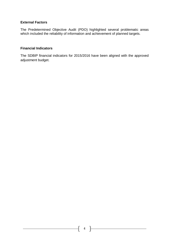#### **External Factors**

The Predetermined Objective Audit (PDO) highlighted several problematic areas which included the reliability of information and achievement of planned targets.

#### **Financial Indicators**

The SDBIP financial indicators for 2015/2016 have been aligned with the approved adjustment budget.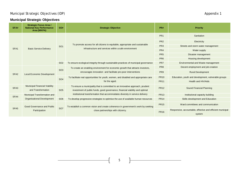# Municipal Strategic Objectives (IDP) and the strategic objectives (IDP) and the strategic objectives (IDP) and the strategic objectives (IDP) and the strategic objectives (IDP) and the strategic objectives (IDP) and the st

# **Municipal Strategic Objectives**

| SFA#             | <b>Strategic Focus Area /</b><br><b>National Key Performance</b><br>Area (MKPA) | <b>SO#</b>                             | <b>Strategic Objective</b>                                                                                                                                    | PR#                            | <b>Priority</b>                                                      |  |  |  |
|------------------|---------------------------------------------------------------------------------|----------------------------------------|---------------------------------------------------------------------------------------------------------------------------------------------------------------|--------------------------------|----------------------------------------------------------------------|--|--|--|
|                  |                                                                                 |                                        |                                                                                                                                                               | PR <sub>1</sub>                | Sanitation                                                           |  |  |  |
|                  |                                                                                 |                                        |                                                                                                                                                               | PR <sub>2</sub><br>Electricity |                                                                      |  |  |  |
|                  |                                                                                 | <b>SO1</b>                             | To promote access for all citizens to equitable, appropriate and sustainable<br>infrastructure and services within a safe environment                         | PR <sub>3</sub>                | Streets and storm water management                                   |  |  |  |
| SFA <sub>1</sub> | <b>Basic Service Delivery</b>                                                   |                                        |                                                                                                                                                               | PR <sub>4</sub>                | Water supply                                                         |  |  |  |
|                  |                                                                                 |                                        |                                                                                                                                                               | PR <sub>5</sub>                | Disaster management                                                  |  |  |  |
|                  |                                                                                 | PR <sub>6</sub><br>Housing development |                                                                                                                                                               |                                |                                                                      |  |  |  |
|                  |                                                                                 | <b>SO2</b>                             | To ensure ecological integrity through sustainable practices of municipal governance                                                                          | PR7                            | Environmental and Waste management                                   |  |  |  |
|                  |                                                                                 |                                        | To create an enabling environment for economic growth that attracts investors,<br>encourages innovation and facilitate pro-poor interventions                 |                                | Decent employment and job creation                                   |  |  |  |
| SFA <sub>2</sub> | <b>Local Economic Development</b>                                               | <b>SO3</b>                             |                                                                                                                                                               |                                | <b>Rural Development</b>                                             |  |  |  |
|                  |                                                                                 | SO <sub>4</sub>                        | To facilitate real opportunities for youth, women, and disabled and appropriate care<br>for the aged.                                                         | <b>PR10</b>                    | Education, youth and development, vulnerable groups                  |  |  |  |
|                  |                                                                                 |                                        |                                                                                                                                                               | <b>PR11</b>                    | Health and HIV/Aids                                                  |  |  |  |
| SFA <sub>3</sub> | <b>Municipal Financial Viability</b><br>and Transformation                      | <b>SO5</b>                             | To ensure a municipality that is committed to an innovative approach, prudent<br>investment of public funds, good governance, financial viability and optimal |                                | Sound Financial Planning                                             |  |  |  |
| SFA4             | Municipal Transformation and                                                    |                                        | institutional transformation that accommodates diversity in service delivery                                                                                  | <b>PR13</b>                    | Institutional capacity building                                      |  |  |  |
|                  | <b>Organisational Development</b>                                               | SO <sub>6</sub>                        | To develop progressive strategies to optimise the use of available human resources                                                                            | <b>PR14</b>                    | Skills development and Education                                     |  |  |  |
| SFA <sub>5</sub> | <b>Good Governance and Public</b>                                               | <b>SO7</b>                             | To establish a common vision and create coherence in government's work by seeking<br>close partnerships with citizenry.                                       | <b>PR15</b>                    | Ward committees and communication                                    |  |  |  |
|                  | Participation                                                                   |                                        |                                                                                                                                                               | <b>PR16</b>                    | Responsive, accountable, effective and efficient municipal<br>system |  |  |  |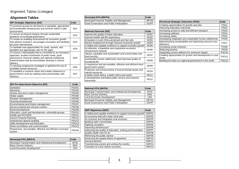# **Alignment Tables**

| <b>IDP Strategic Objectives (SO)</b>                                                                                                                                                                                                                | Code            |
|-----------------------------------------------------------------------------------------------------------------------------------------------------------------------------------------------------------------------------------------------------|-----------------|
| To promote access for all citizens to equitable, appropriate<br>and sustainable infrastructure and services within a safe<br>environment                                                                                                            | SO <sub>1</sub> |
| To ensure ecological integrity through sustainable<br>practices of municipal governance                                                                                                                                                             | SO <sub>2</sub> |
| To create an enabling environment for economic growth<br>that attracts investors, encourages innovation and facilitate<br>pro-poor interventions                                                                                                    | SO <sub>3</sub> |
| To facilitate real opportunities for youth, women, and<br>disabled and appropriate care for the aged                                                                                                                                                | SO <sub>4</sub> |
| To ensure a Municipality that is committed to an innovative<br>approach, prudent investment of public funds, good<br>governance, financial viability and optimal institutional<br>transformation that accommodates diversity in service<br>delivery | SO5             |
| To develop progressive strategies to optimise the use of<br>available human resources                                                                                                                                                               | SO <sub>6</sub> |
| To establish a common vision and create coherence in<br>government's work by seeking close partnerships with<br>citizenry                                                                                                                           | SO7             |

| <b>IDP Pre-determined Objective (PR)</b>                             |                   |  |  |  |  |
|----------------------------------------------------------------------|-------------------|--|--|--|--|
| Sanitation                                                           | <b>PDO01</b>      |  |  |  |  |
| Electricity                                                          | <b>PDO02</b>      |  |  |  |  |
| Streets and storm water management                                   | <b>PDO03</b>      |  |  |  |  |
| Water supply                                                         | PDO04             |  |  |  |  |
| Disaster management                                                  | PDO <sub>05</sub> |  |  |  |  |
| Housing development                                                  | <b>PDO06</b>      |  |  |  |  |
| Environmental and Waste management                                   | PDO07             |  |  |  |  |
| Decent employment and job creation                                   | <b>PDO08</b>      |  |  |  |  |
| <b>Rural Development</b>                                             | <b>PDO09</b>      |  |  |  |  |
| Education, youth and development, vulnerable groups                  | <b>PDO10</b>      |  |  |  |  |
| Health and HIV/AIDS                                                  | <b>PDO11</b>      |  |  |  |  |
| Sound Financial Planning                                             | <b>PDO12</b>      |  |  |  |  |
| Institutional capacity building                                      | PDO <sub>13</sub> |  |  |  |  |
| Skills development and Education                                     | <b>PDO14</b>      |  |  |  |  |
| Ward committees and communication                                    | <b>PDO15</b>      |  |  |  |  |
| Responsive, accountable, effective and efficient municipal<br>system | PDO <sub>16</sub> |  |  |  |  |

| <b>Municipal KPA (MKPA)</b>                            | <b>Code</b> |
|--------------------------------------------------------|-------------|
| Municipal Transformation and Institutional Development | <b>MTID</b> |
| <b>Basic Service Delivery</b>                          | <b>BSD</b>  |
| Local Economic Development                             | I FD        |

| <b>Municipal KPA (MKPA)</b>                  | <b>Code</b> |
|----------------------------------------------|-------------|
| Municipal Financial Viability and Management | <b>MFVM</b> |
| Good Governance and Public Participation     | GGPP        |

| <b>National Outcome (NO)</b>                                                     | Code        |
|----------------------------------------------------------------------------------|-------------|
| Improve the quality of basic education                                           | <b>NO01</b> |
| Improve health and life expectancy                                               | <b>NO02</b> |
| All people in south Africa protected and feel safe                               | <b>NO03</b> |
| Decent employment through inclusive economic growth                              | <b>NO04</b> |
| A skilled and capable workforce to support inclusive growth                      | <b>NO05</b> |
| An effective, competitive and responsive economic<br>infrastructure network      | <b>NO06</b> |
| Vibrant, equitable and sustainable rural communities and<br>food security        | <b>NO07</b> |
| Sustainable human settlements and improved quality of<br>household life          | <b>NO08</b> |
| A responsive and accountable, effective and efficient local<br>government system | <b>NO09</b> |
| Protection and enhancement of environmental assets and<br>natural resources      | <b>NO10</b> |
| A better South Africa, a better Africa and world                                 | <b>NO11</b> |
| A development-orientated public service and inclusive<br>citizenship             | <b>NO12</b> |

| National KPA (NKPA)                                    | <b>Code</b> |
|--------------------------------------------------------|-------------|
| Municipal Transformation and Institutional Development | <b>MTID</b> |
| <b>Basic Service Delivery</b>                          | <b>BSD</b>  |
| Local Economic Development                             | I FD        |
| Municipal Financial Viability and Management           | <b>MFVM</b> |
| Good Governance and Public Participation               | GGPP        |

| <b>NDP Objectives (NDP)</b>                                 | Code              |
|-------------------------------------------------------------|-------------------|
| A skilled and capable workforce to support inclusive growth | NDP01             |
| An economy that will create more jobs                       | NDP02             |
| An inclusive and integrated rural economy                   | NDP03             |
| Building safer communities                                  | NDP04             |
| Fighting corruption                                         | NDP05             |
| Improving Infrastructure                                    | NDP06             |
| Improving the quality of education, training and innovation | NDP07             |
| Quality health care for all                                 | NDP08             |
| Reforming the public service                                | NDP09             |
| Reversing the spatial effects of apartheid                  | NDP <sub>10</sub> |
| Social protection                                           | NDP <sub>11</sub> |
| Transforming society and uniting the country                | NDP <sub>12</sub> |
| Transition to a low-carbon economy                          | NDP <sub>13</sub> |

| <b>Provincial Strategic Outcomes (PSO)</b>                             | Code             |
|------------------------------------------------------------------------|------------------|
| Creating opportunities for growth and jobs                             | PSO <sub>1</sub> |
| Improving education outcomes                                           | PSO <sub>2</sub> |
| Increasing access to safe and efficient transport                      | PSO <sub>3</sub> |
| Increasing wellness                                                    | PSO <sub>4</sub> |
| Increasing safety                                                      | PSO <sub>5</sub> |
| Developing integrated and sustainable human settlements                | PSO <sub>6</sub> |
| Mainstreaming sustainability and optimising resource-use<br>efficiency | PSO <sub>7</sub> |
| Increasing social cohesion                                             | PSO <sub>8</sub> |
| Reducing poverty                                                       | PSO <sub>9</sub> |
| Integrating service delivery for maximum impact                        | <b>PSO10</b>     |
| Creating opportunities for growth and development in rural<br>lareas   | <b>PSO11</b>     |
| Building the best-run regional government in the world                 | <b>PSO12</b>     |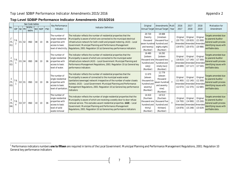#### **Top Level SDBIP Performance Indicator Amendments 2015/2016**

|                              |            |                      | See Code tables        |                 |            |            | Key Performance                                                                                              |                                                                                                                                                                                                                                                                                                                                                                                              | Original                                                                       | Amendments Multi                                                                     | 2016                           | 2017                                                                  | 2018                           | Motivation for                                                                                                    |
|------------------------------|------------|----------------------|------------------------|-----------------|------------|------------|--------------------------------------------------------------------------------------------------------------|----------------------------------------------------------------------------------------------------------------------------------------------------------------------------------------------------------------------------------------------------------------------------------------------------------------------------------------------------------------------------------------------|--------------------------------------------------------------------------------|--------------------------------------------------------------------------------------|--------------------------------|-----------------------------------------------------------------------|--------------------------------|-------------------------------------------------------------------------------------------------------------------|
| No.                          | <b>IDP</b> | SO PR                | IMKPA /<br><b>NKPA</b> | <b>NO</b>       | <b>NDP</b> | <b>PSO</b> | Indicator                                                                                                    | <b>Indicator Definition</b>                                                                                                                                                                                                                                                                                                                                                                  |                                                                                | Annual Target Annual Target - Year                                                   | 2017                           | 2018                                                                  | 2019                           | Amendment                                                                                                         |
| (TL<br>01)                   | 7.6.       | 02<br>$\Omega$ 1     | <b>BSD</b>             | 08              | 10         | 06         | The number of<br>single residential<br>properties with<br>access to basic                                    | The indicator reflects the number of residential properties that the<br>Municipality is aware of which are connected to the municipal electrical<br>infrastructure network for both credit and prepaid metering. (A10) - Local<br>Government: Municipal Planning and Performance Management<br>level of electricity. Regulations, 2001: Regulation 10 (a) General key performance indicators | 20720<br>[twenty<br>thousand<br>seven hundred<br>and twenty]<br>(Number)       | 19488<br>[nineteen<br>thousand four<br>hundred and<br>eighty eight]<br>(Number)      | Original<br>(20770)<br>(19975) | Original<br>(20820)<br>Amended Amended Amended<br>(20 475)            | Original<br>(21000)<br>(20986) | Targets amended due<br>to yearend Auditor<br>General audit process<br>identifying issues with<br>verifiable data. |
| $\overline{2}$<br>(TL<br>02) | 7.6.       | 01 04                | <b>BSD</b>             | 08              | 10         | 06         | The number of<br>single residential<br>properties with<br>access to basic<br>level of water.                 | The indicator reflects the number of residential properties that the<br>Municipality is aware of which are connected to the municipal water<br>infrastructure network (A10) - Local Government: Municipal Planning and<br>Performance Management Regulations, 2001: Regulation 10 (a) General key<br>performance indicators                                                                  | 16 480<br>[sixteen<br>thousand one<br>hundred and<br>sixtyl<br>(Number)        | 16 29 2<br>[sixteen<br>thousand two<br>hundred and<br>ninety two]<br>(Number)        | Original<br>(16810)<br>(16699) | Original<br>(17140)<br>Amended Amended Amended<br>$(17117)$ $(17545)$ | Original<br>(17300)            | Targets amended due<br>to yearend Auditor<br>General audit process<br>identifying issues with<br>verifiable data. |
| $\mathbf{3}$<br>(TL<br>03)   | 7.6.       | 02<br>01             | <b>BSD</b>             | 10 <sup>°</sup> | 10         | 06         | The number of<br>single residential<br>properties with<br>access to basic<br>level of sanitation.            | The indicator reflects the number of residential properties that the<br>Municipality is aware of connected to the municipal waste water<br>(sanitation/sewerage) network irrespective of the number of water closets<br>(toilets). (A10) - Local Government: Municipal Planning and Performance<br>Management Regulations, 2001: Regulation 10 (a) General key performance<br>indicators     | 11 670<br><b>feleven</b><br>thousand six<br>hundred and<br>seventy<br>(Number) | 11 7 7 9<br>[eleven<br>thousand<br>seven hundred<br>and seventy<br>ninel<br>(Number) | Original<br>(11900)<br>(12073) | Original<br>(12140)<br>Amended Amended Amended<br>(12375)             | Original<br>(12300)<br>(12685) | Targets amended due<br>to yearend Auditor<br>General audit process<br>identifying issues with<br>verifiable data. |
| (TL<br>(04)                  | 7.6.       | O <sub>2</sub><br>07 | <b>BSD</b>             | 10 <sup>°</sup> | 10         | 06         | The number of<br>single residential<br>properties with<br>access to basic<br>level of solid<br>waste removal | This indicator reflects the number of single residential properties that the<br>Municipality is aware of which are receiving a weekly door to door refuse<br>removal service. This excludes vacant residential properties. (A10) - Local<br>Government: Municipal Planning and Performance Management<br>Regulations, 2001: Regulation 10 (a) General key performance indicators             | 14 4 10<br>[fourteen<br>thousand one<br>hundred and<br>thirty]<br>(Number)     | 14513<br>[fourteen<br>thousand five<br>hundred and<br>thirteenl<br>(Number)          | Original<br>(14700)<br>(14876) | Original<br>(14990)<br>Amended Amended Amended<br>(15248)             | Original<br>(15200)<br>(15629) | Targets amended due<br>to yearend Auditor<br>General audit process<br>identifying issues with<br>verifiable data. |

 1 Performance indicators numbers *one to fifteen* are required in terms of the Local Government: Municipal Planning and Performance Management Regulations, 2001: Regulation 10 General key performance indicators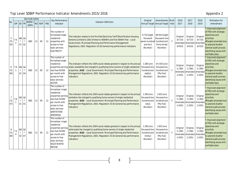|                 |                | See Code tables                                                  |               |                            |    |            |            | Key Performance                                                                                                                                                                    | Original                                                                                                                                                                                                                                                                                                                               |                                                                  |                                                                           |       | 2016                                            | 2017                                            | 2018                                    | <b>Motivation for</b>                                                                                                                                                                             |
|-----------------|----------------|------------------------------------------------------------------|---------------|----------------------------|----|------------|------------|------------------------------------------------------------------------------------------------------------------------------------------------------------------------------------|----------------------------------------------------------------------------------------------------------------------------------------------------------------------------------------------------------------------------------------------------------------------------------------------------------------------------------------|------------------------------------------------------------------|---------------------------------------------------------------------------|-------|-------------------------------------------------|-------------------------------------------------|-----------------------------------------|---------------------------------------------------------------------------------------------------------------------------------------------------------------------------------------------------|
| No.             | <b>IDP</b>     | $SO$ PR                                                          |               | <b>ЛКРА</b><br><b>NKPA</b> | NO | <b>NDP</b> | <b>PSO</b> | Indicator                                                                                                                                                                          | <b>Indicator Definition</b>                                                                                                                                                                                                                                                                                                            | Annual Target Annual Target                                      | Amendments Mult                                                           | -Year | 2017                                            | 2018                                            | 2019                                    | Amendment                                                                                                                                                                                         |
| 5<br>(TL<br>05) | 7.6<br>2       | $-05$ $12$<br>$\star$<br>01                                      | $\star$<br>02 | <b>BSD</b>                 | 12 | 09         | 12         | The number of<br>formalised single<br>residential<br>properties with<br>access to free<br>basic services:<br><b>ELECTRICITY</b>                                                    | This indicator relates to the Pre-Paid Electricity Tariff Electrification Housing<br>Scheme (Limited to 20A) limited to 400kWh and first 50kWh free - Local<br>Government: Municipal Planning and Performance Management<br>Regulations, 2001: Regulation 10 (b) General key performance indicators                                    | 8 710 [eight<br>thousand<br>seven hundre<br>and ten]<br>(Number) | #8933 [eight<br>thousand nine<br>hundred and<br>thirty three]<br>(Number) |       | Original<br>(8710)<br>Amended Amended<br>(8933) | Original<br>(8710)<br>(8933)                    | Original<br>(8710)<br>Amended<br>(8933) | Improved alignment<br>of PDO with strategic<br>objectives and<br>priorities<br>#Targets amended due<br>to yearend Auditor<br>General audit process<br>identifying issues with<br>verifiable data. |
| 6<br>(TL<br>06) | $\overline{1}$ | $7.6.$ $\Theta$ $\Theta$ $\left  12 \right $<br>$\star$<br>01 04 | $\star$       | <b>BSD</b>                 | 12 | 09         | 12         | The number of<br>formalised single<br>residential<br>properties earning<br>less than R2500<br>per month with<br>access to free<br>basic services:<br><b>WATER</b>                  | This indicator reflects the 100% social rebate granted in respect to the annual<br>water availability fee charged to qualifying home owners of single residential<br>properties. (A10) - Local Government: Municipal Planning and Performance<br>Management Regulations, 2001: Regulation 10 (b) General key performance<br>indicators | 1 280 [one<br>thousand two<br>hundred and<br>eighty]<br>(Number) | #1655 [one<br>thousand six<br>hundred and<br>fifty five]<br>(Number)      |       | Original<br>(1280)<br>(1655)                    | Original<br>(1280)<br>Amended Amended<br>(1655) | Original<br>(1280)<br>Amende<br>(1655)  | Improved alignment<br>of PDO with strategic<br>objectives and<br>priorities<br>#Targets amended due<br>to yearend Auditor<br>General audit process<br>identifying issues with<br>verifiable data. |
| (TL<br>07)      | 7.6            | $\frac{0.5}{1}$ $\frac{1.2}{1}$<br>$01$ 01                       | $\star$       | <b>BSD</b>                 | 12 | 09         | 12         | The number of<br>formalised single<br>residential<br>properties earning<br>ess than R2500<br>per month with<br>access to free<br>basic services:<br>SANITATION/<br><b>SEWERAGE</b> | This indicator reflects the 100% social rebate granted in respect to the annual<br>sanitation fee charged to qualifying home owners of single residential<br>properties. (A10) - Local Government: Municipal Planning and Performance<br>Management Regulations, 2001: Regulation 10 (b) General key performance<br>indicators         | 1 260 [one<br>thousand two<br>hundred and<br>sixty]<br>(Number)  | 1655 [one<br>thousand six<br>hundred and<br>fifty five]<br>(Number)       |       | Original<br>(1260)<br>Amended<br>(1655)         | Original<br>(1260)<br>Amended<br>(1655)         | Origina<br>(1260)<br>Amende<br>(1655)   | Improved alignment<br>of PDO with strategic<br>objectives and<br>priorities<br>#Targets amended due<br>to yearend Auditor<br>General audit process<br>identifying issues with<br>verifiable data  |
| 8<br>(TL<br>08) | 7.5.           | 05 12<br>$\star$<br>02 07                                        | $\star$       | <b>BSD</b>                 | 12 | 09         | 12         | The number of<br>formalised single<br>residential<br>properties earning<br>ess than R2500<br>per month with<br>access to free<br>basic services:<br>SOLID WASTE/<br><b>REFUSE</b>  | This indicator reflects the 100% social rebate granted in respect to the annual<br>solid waste fee charged to qualifying home owners of single residential<br>properties. (A10) - Local Government: Municipal Planning and Performance<br>Management Regulations, 2001: Regulation 10 (b) General key performance<br>indicators        | 1 290 [one<br>thousand two<br>hundred and<br>ninetyl<br>(Number) | 1655 [one]<br>thousand six<br>hundred and<br>fifty five]<br>(Number)      |       | Original<br>(1290)<br>(1655)                    | Original<br>(1290)<br>Amended Amended<br>(1655) | Original<br>(1290)<br>Amende<br>(1655)  | Improved alignment<br>of PDO with strategic<br>objectives and<br>priorities<br>#Targets amended due<br>to yearend Auditor<br>General audit process<br>identifying issues with<br>verifiable data  |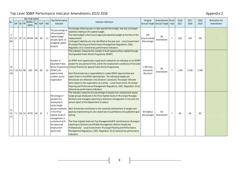|     |                                             | See Code tables<br>Key Performance |                       | Original | Amendments Multi |            | 2016                                                                                                                                                                                                 | 2017                                                                                                                                                                                                                                                                                                                                                                                                                                                                                                                                                                                                                                                                                                                                                                         | 2018                                 | Motivation for                     |              |         |         |         |           |
|-----|---------------------------------------------|------------------------------------|-----------------------|----------|------------------|------------|------------------------------------------------------------------------------------------------------------------------------------------------------------------------------------------------------|------------------------------------------------------------------------------------------------------------------------------------------------------------------------------------------------------------------------------------------------------------------------------------------------------------------------------------------------------------------------------------------------------------------------------------------------------------------------------------------------------------------------------------------------------------------------------------------------------------------------------------------------------------------------------------------------------------------------------------------------------------------------------|--------------------------------------|------------------------------------|--------------|---------|---------|---------|-----------|
| No. |                                             | IDP SO PR                          | МКРА .<br><b>NKPA</b> |          | NO NDP           | <b>PSO</b> | Indicator                                                                                                                                                                                            | <b>Indicator Definition</b>                                                                                                                                                                                                                                                                                                                                                                                                                                                                                                                                                                                                                                                                                                                                                  |                                      | Annual Target Annual Target - Year |              | 2017    | 2018    | 2019    | Amendment |
| (TL | 8.1<br>(09)                                 |                                    | 05 12 MFVM 09         |          | 09               | 12         | The percentage of<br>a Municipality's<br>capital budget<br>actually spent on<br>budgeted capital<br>projects                                                                                         | Percentage reflecting year-to-date spend/total budget, less any contingent<br>liabilities relating to the capital budget.<br>The total budget is the Council-approved adjusted budget at the time of the<br>measurement.<br>Contingent liabilities are only identified at the year-end. - Local Government:<br>Municipal Planning and Performance Management Regulations, 2001:<br>Regulation 10 (c) General key performance indicators                                                                                                                                                                                                                                                                                                                                      | 100<br>[one hundred]<br>(Percentage) | No<br>Amendment                    | Y            | 100     | 100     | 100     |           |
|     | 10<br>$ $ (TL $ $ 7.10 $ $ 03 $ $ 08<br>10) |                                    | LED                   | 06       | 06               | 03         | Number of<br><b>Expanded Public</b><br>Works Programme<br>(EPWP) job<br>opportunities<br>created by the<br>organisation                                                                              | This indicator measures the number of work opportunities created through<br>the Expanded Public Works Programme (EPWP).<br>An EPWP work opportunity is paid work created for an individual on an EPWP<br>project for any period of time, within the employment conditions of the Code<br>of Good Practice for Special Public Works Programmes.<br>Each Directorate has a responsibility to create EPWP opportunities and<br>report them to the EPWP administrator. The individual targets per<br>Directorate are reflected in the Directors' scorecard. The target reflected<br>here relates to the organisation as a whole. - Local Government: Municipal<br>Planning and Performance Management Regulations, 2001: Regulation 10 (d)<br>General key performance indicators | 2 000 [two<br>thousand]<br>(Number)  | No<br>Amendment                    | <sup>V</sup> | 2 1 0 0 | 2 2 0 0 | 2 3 0 0 |           |
|     | $\vert$ (TL   7.1 $\vert$ 06   14<br>11)    |                                    | MTID                  | 04       | 01               | 2          | Percentage of<br>people from<br>employment<br>equity target<br>groups employed<br>in the three<br>highest levels of<br>management in<br>compliance with<br>the approved<br>employment<br>equity plan | The indicator measures the percentage of people from employment equity<br>target groups employed in the three highest levels of (Municipal Manager,<br>Directors and managers reporting to directors) management in line with the<br>annual report of the Department of Labour.<br>Each directorate contributes to the corporate achievement of targets and<br>goals by implementing its own objectives of quantitative and qualitative goal<br>setting.<br>The three highest levels are Top Management (MM and Directors); Managers<br>reporting to Directors and Middle Management (Section Heads and<br>Professionals) - Local Government: Municipal Planning and Performance<br>Management Regulations, 2001: Regulation 10 (e) General key performance<br>indicators    | 80 [eighty]<br>(Percentage)          | No<br>Amendment                    | Y            | 80      | 80      | 80      |           |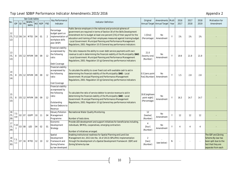|                   |                   |           |       | See Code tables            |           |            |            | Key Performance                                                                                                          |                                                                                                                                                                                                                                                                                                                                                                                                                                                           | Original                                       | Amendments Multi |       | 2016 | 2017 | 2018           | Motivation for                                                                                               |
|-------------------|-------------------|-----------|-------|----------------------------|-----------|------------|------------|--------------------------------------------------------------------------------------------------------------------------|-----------------------------------------------------------------------------------------------------------------------------------------------------------------------------------------------------------------------------------------------------------------------------------------------------------------------------------------------------------------------------------------------------------------------------------------------------------|------------------------------------------------|------------------|-------|------|------|----------------|--------------------------------------------------------------------------------------------------------------|
| No                |                   | IDP SO PR |       | <b>MKPA</b><br><b>NKPA</b> | <b>NO</b> | <b>NDP</b> | <b>PSO</b> | Indicator                                                                                                                | <b>Indicator Definition</b>                                                                                                                                                                                                                                                                                                                                                                                                                               | Annual Target Annual Target                    |                  | -Year | 2017 | 2018 | 2019           | Amendment                                                                                                    |
| 12<br>(TL)<br>12) |                   |           |       | 7.12 06 14 MTID            | 04        | 01         | 2          | Percentage<br>budget spent on<br>implementation o<br>workplace skills<br>plan (WSP)                                      | Public Service employers in the national and provincial spheres of<br>government are required in terms of Section 30 of the Skills Development<br>Amendment Act to budget at least one percent [1%] of their payroll for the<br>education and training of their employees measured against training budget.<br>Local Government: Municipal Planning and Performance Management<br>Regulations, 2001: Regulation 10 (f) General key performance indicators | $1$ [One]<br>(Percentage)                      | No<br>Amendment  | Y     | 1%   | 1%   | 1%             |                                                                                                              |
| 13<br>(TL<br>13)  | 8                 |           |       | 05 12 MFVM 09              |           | 09         | 12         | Financial viability<br>as expressed by<br>the following<br>ratio:<br>Debt Coverage                                       | The ratio measures the ability to cover debt service payments with own<br>revenue to aid in determining the financial viability of the Municipality (SA8)<br>Local Government: Municipal Planning and Performance Management<br>Regulations, 2001: Regulation 10 (g) General key performance indicators                                                                                                                                                   | 21.0<br>[twenty one]<br>(Number)               | No<br>Amendment  | Y     | 19.9 | 21.9 | 21.9           |                                                                                                              |
| 14<br>(TL<br>14)  | 8                 |           |       | 05 12 MFVM 09              |           | 09         | 12         | Financial viability<br>as expressed by<br>the following<br>ratio:<br>Cost Coverage                                       | To calculate the ability to cover fixed cost with available cash to aid in<br>determining the financial viability of the Municipality (SA8) - Local<br>Government: Municipal Planning and Performance Management<br>Regulations, 2001: Regulation 10 (g) General key performance indicators                                                                                                                                                               | 0.5 [zero point<br>five] (Number)              | No<br>Amendment  | Y     | 1.5  | 2.8  | 2.8            |                                                                                                              |
| 15<br>(TL<br>15)  | 8                 |           |       | 05 12 MFVM 09              |           | 09         | 12         | <b>Financial viability</b><br>as expressed by<br>the following<br>ratio:<br>Outstanding<br>Service Debtors to<br>Revenue | To calculate the ratio of service debtor to service revenue to aid in<br>determining the financial viability of the Municipality (SA8) - Local<br>Government: Municipal Planning and Performance Management<br>Regulations, 2001: Regulation 10 (g) General key performance indicators                                                                                                                                                                    | 18.8 [eighteen<br>point eight]<br>(Percentage) | No<br>Amendment  | Y     | 16.3 | 14.7 | 14.7           |                                                                                                              |
| 16<br>(TL<br>28)  | 7.5<br>4.9        |           | 02 07 | GGPP                       | 10        | 11         | 04         | <b>Estuary Pollution</b><br>Management<br>Programme                                                                      | Recreational Water Quality Monitoring.<br>Number of tests done.                                                                                                                                                                                                                                                                                                                                                                                           | 12<br>[twelve]<br>(Number)                     | No<br>Amendment  | Y     | 12   | 12   | 12             |                                                                                                              |
| 17<br>(TL<br>29)  | 7.10<br>$\cdot$ 1 |           | 03 08 | LED                        | 04        | 02         | 01         | Economic<br>Development<br>Strategy                                                                                      | Provide LED development and support initiatives for beneficiaries including,<br>individuals, SMMEs, cooperatives, emerging contractors<br>Number of initiatives arranged.                                                                                                                                                                                                                                                                                 | 4<br>[four]<br>(Number)                        | No<br>Amendment  | Y     | 4    |      | $\overline{4}$ |                                                                                                              |
| 18<br>(TL<br>30)  | 7.3<br>1.1        | 07        | 16    | MTID <sub>12</sub>         |           | 10         | 12         | Spatial<br>Development<br>Framework and<br>Zoning Scheme<br>by-law developed.                                            | Enabling institutional readiness for Spatial Planning and Land Use<br>Management Act, 2013 (Act No. 16 of 2013) (SPLUMA) implementation<br>$\overline{2}$<br>through the development of a Spatial Development Framework (SDF) and<br>[two]<br>N<br>(see below)<br>Zoning Scheme by-law<br>(Number)                                                                                                                                                        |                                                |                  |       |      |      |                | The SDF and Zoning<br>Scheme By-law has<br>been split due to the<br>fact that they are<br>separate from each |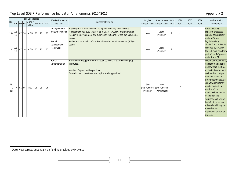|                  |             |           | See Code tables       |    |        |            | Key Performance                     |                                                                                                                                                                                                                             | Original        | Amendments Multi                                     |   | 2016            | 2017 | 2018   | Motivation for                                                                                                                                                                                                                                                                                                                                                                                                                |
|------------------|-------------|-----------|-----------------------|----|--------|------------|-------------------------------------|-----------------------------------------------------------------------------------------------------------------------------------------------------------------------------------------------------------------------------|-----------------|------------------------------------------------------|---|-----------------|------|--------|-------------------------------------------------------------------------------------------------------------------------------------------------------------------------------------------------------------------------------------------------------------------------------------------------------------------------------------------------------------------------------------------------------------------------------|
| No.              |             | IDP SO PR | MKPA /<br><b>NKPA</b> |    | NO NDP | <b>PSO</b> | Indicator                           | <b>Indicator Definition</b>                                                                                                                                                                                                 |                 | Annual Target Annual Target - Year                   |   | 2017            | 2018 | 2019   | Amendment                                                                                                                                                                                                                                                                                                                                                                                                                     |
| 18a              | 7.3.<br>1.1 |           | 07 16 MTID 12         |    | 10     | 12         | Zoning Scheme<br>by-law developed.  | Enabling institutional readiness for Spatial Planning and Land Use<br>Management Act, 2013 (Act No. 16 of 2013) (SPLUMA) implementation<br>through the development and submission to Council of the Zoning Scheme<br>by-law | <b>New</b>      | $1$ [one]<br>(Number)                                | N |                 |      | ÷.     | other following<br>separate processes<br>running concurrently<br>under different                                                                                                                                                                                                                                                                                                                                              |
| 18 <sub>b</sub>  | 7.3.<br>1.1 |           | 07 16 MTID 12         |    | 10     | 12         | Spatial<br>Development<br>Framework | Review and submission of the Spatial Development Framework (SDF) to<br>Council                                                                                                                                              | <b>New</b>      | 1 [one]<br>(Number)                                  | N |                 |      |        | legislation (e.g.<br>SPLUMA and MSA). As<br>required by SPLUMA<br>the SDF must also form<br>part of the IDP process<br>under the MSA.                                                                                                                                                                                                                                                                                         |
| 19<br>(TL<br>31) |             | 7.4 01 06 | <b>BSD</b>            | 08 | 06     | 06         | Human<br>Settlement Plan            | Provide housing opportunities through servicing sites and building top<br>structures.<br>Number of opportunities provided.<br>Expenditure of operational and capital funding provided.                                      | 500<br>(Number) | 100%<br>[five hundred] [one hundred]<br>(Percentage) | Y | $\frac{2}{\pi}$ |      | $\sim$ | Due to our dependency<br>on grant funding and<br>unknowns at the time<br>of the PI development<br>such as final cost per<br>unit and access to<br>properties the actuals<br>can vary significantly<br>due to the factors<br>outside of the<br>municipality's control.<br>In addition the<br>verification of actuals<br>both for internal and<br>external audit require<br>extensive and<br>expensive verification<br>process. |

<sup>&</sup>lt;u>.</u><br><sup>2</sup> Outer year targets dependant on funding provided by Province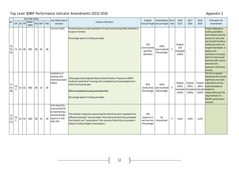|                   | See Code tables<br>Key Performance |           | Original                   | Amendments Multi |        | 2016       | 2017                                                                                                        | 2018                                                                                                                                                                                                                                                                    | Motivation for                                        |                                                     |       |                                                                      |                                |                                |                                                                                                                                                                                                                                                                                                                             |
|-------------------|------------------------------------|-----------|----------------------------|------------------|--------|------------|-------------------------------------------------------------------------------------------------------------|-------------------------------------------------------------------------------------------------------------------------------------------------------------------------------------------------------------------------------------------------------------------------|-------------------------------------------------------|-----------------------------------------------------|-------|----------------------------------------------------------------------|--------------------------------|--------------------------------|-----------------------------------------------------------------------------------------------------------------------------------------------------------------------------------------------------------------------------------------------------------------------------------------------------------------------------|
| No.               |                                    | IDP SO PR | <b>MKPA</b><br><b>NKPA</b> |                  | NO NDP | <b>PSO</b> | Indicator                                                                                                   | <b>Indicator Definition</b>                                                                                                                                                                                                                                             |                                                       | Annual Target Annual Target                         | -Year | 2017                                                                 | 2018                           | 2019                           | Amendment                                                                                                                                                                                                                                                                                                                   |
| 20<br>(TL<br>32)  |                                    | 7.4 01 06 | <b>BSD</b>                 | 08               | 06     | 06         | Hornlee Toilets                                                                                             | Provide access to proper sanitation through constructing toilets attached to<br>houses in Hornlee<br>Percentage spend of funding provided.                                                                                                                              | 150<br>[one hundred<br>and fifty]<br>(Number)         | 100%<br>[one hundred]<br>(Percentage)               | Y     | Original<br>150<br>Amended<br>$(100\%)$                              |                                | $\sim$                         | Project depends on<br>funding availability<br>which determines the<br>amount of units that<br>can be built therefore<br>making accurate unit<br>targets improbable. In<br>addition the<br>verification of actuals<br>both for internal and<br>external audit require<br>extensive and<br>expensive verification<br>process. |
| 21<br>(TL)<br>38) | 7.6<br>$\overline{2}$              | 01 02     | <b>BSD</b>                 | 08               | 10     | 06         | Installation of<br>housing units<br>electrical prepaid<br>meters                                            | Utilize approved Integrated National Electrification Programme (INEP)<br>funding to electrify all housing units completed by Housing Department<br>within the financial year<br>95% of completed housing units electrified<br>Percentage spend of funding provided.     | 95%<br>(Percentage)                                   | 100%<br>[ninety five] [one hundred]<br>(Percentage) | Y     | Original<br>(95%)<br>Amended Amended Amended related to<br>$(100\%)$ | Original<br>(95%)<br>$(100\%)$ | Original<br>(95%)<br>$(100\%)$ | The PI as originally<br>developed will provide<br>significant and costly<br>implications during<br>audit processes as<br>measurability per the<br>requirements of a<br><b>SMART</b> performance<br>indicator.                                                                                                               |
| 22<br>(TL<br>27)  | 7.6<br>$\overline{2}$              | 01 02     | <b>BSD</b>                 | 08               | 10     | 06         | Limit electricity<br>unaccounted for<br>by maintaining a<br>loss percentage<br>equal to or less<br>than 10% | This indicator measures unaccounted for electricity which represents the<br>difference between "net purchases" (the volume of electricity purchased<br>from Eskom) and "consumption" (the volume of electricity consumption<br>(sales) including indigent consumption.) | 10%<br>[equal to or<br>less than ten]<br>(Percentage) | No<br>Amendment                                     | Y     | ≤10%                                                                 | $\leq 10\%$                    | $\leq 10\%$                    |                                                                                                                                                                                                                                                                                                                             |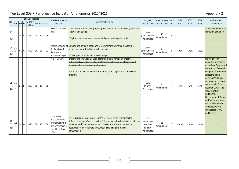|                   |          |           |         | See Code tables       |    |        |            | Key Performance                                                                                     |                                                                                                                                                                                                                                                                                                           | Original                                                    | Amendments Multi                   |   | 2016 | 2017 | 2018 | Motivation for                                                                                                                                                                                                                                                                                                                                                                                             |
|-------------------|----------|-----------|---------|-----------------------|----|--------|------------|-----------------------------------------------------------------------------------------------------|-----------------------------------------------------------------------------------------------------------------------------------------------------------------------------------------------------------------------------------------------------------------------------------------------------------|-------------------------------------------------------------|------------------------------------|---|------|------|------|------------------------------------------------------------------------------------------------------------------------------------------------------------------------------------------------------------------------------------------------------------------------------------------------------------------------------------------------------------------------------------------------------------|
| No.               |          | IDP SO PR |         | MKPA /<br><b>NKPA</b> |    | NO NDP | <b>PSO</b> | Indicator                                                                                           | <b>Indicator Definition</b>                                                                                                                                                                                                                                                                               |                                                             | Annual Target Annual Target - Year |   | 2017 | 2018 | 2019 | Amendment                                                                                                                                                                                                                                                                                                                                                                                                  |
| 23<br>(TL<br>39)  |          | 7.1 01 02 |         | <b>BSD</b>            | 08 | 10     | 06         | Electrical Master<br>plans                                                                          | Complete all Master plans projects programmed for the financial year within<br>the available budget.<br>*Capital projects expenditure over budgeted water capital projects.                                                                                                                               | 100%<br>[one hundred]<br>(Percentage)                       | No<br>Amendment                    | N |      |      |      | The amendment is to<br>clarify the definition.                                                                                                                                                                                                                                                                                                                                                             |
| 24<br>(TL<br>40)  | 7.6<br>3 |           | 01 03   | <b>BSD</b>            | 06 | 06     | 03         | Implementation of<br>the Roads and<br>Stormwater<br>maintenance plan                                | Develop and action a Roads and Stormwater maintenance plan for the<br>greater Knysna within the available budget.<br>100% expenditure of maintenance budget                                                                                                                                               | 100%<br>[one hundred]<br>(Percentage)                       | No<br>Amendment                    | N | 100% | 100% | 100% |                                                                                                                                                                                                                                                                                                                                                                                                            |
| 25<br>(TL)<br>41) | 7.6      |           | $01$ 04 | <b>BSD</b>            | 08 | 10     | 06         | <b>Water Quality</b>                                                                                | Improve the average Blue Drop score for greater Knysna by improve<br>institutional capacity as well as implementing effective maintenance and<br>administration procedures at all systems<br>Water quality to maintained at 90% or above in support of the Blue Drop<br>program                           | 90%<br>[ninety]<br>(Percentage)                             | No<br>Amendment                    | Y | 91%  | 92%  | 93%  | Definition (only)<br>amendment required<br>as the Blue Drop award<br>is made up of several<br>components related to<br>issues including<br>governance, human<br>resources and finances,<br>water quality forms<br>less than 20% of the<br>calculations. In<br>addition the<br>Department of Water<br>and Sanitation does<br>not provide regular<br>auditable reports<br>which leads to AG<br>audit issues. |
| 26<br>(TL<br>42)  | 7.6      |           | 01 04   | <b>BSD</b>            | 08 | 10     | 06         | Limit water<br>unaccounted for<br>by maintaining a<br>loss percentage of<br>equal to or less<br>20% | This indicator measures unaccounted for water which represents the<br>difference between "net production" (the volume of water delivered into the<br>water network) and "consumption" (the volume of water that can be<br>accounted for by legitimate consumption including the indigent<br>consumption.) | 20%<br>[equal to or<br>less than<br>twenty]<br>(Percentage) | No<br>Amendment                    | Y | ≤20% | ≤20% | ≤20% |                                                                                                                                                                                                                                                                                                                                                                                                            |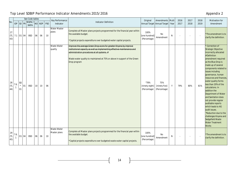|                    |            | See Code tables<br>Key Performance |           |                      |    |        |            |                                    |                                                                                                                                                                                                                                                                                            | <b>Motivation for</b>                             |                                                        |           |              |                |              |                                                                                                                                                                                                                                                                                                                                                                                                                                                                                                                                                                                  |
|--------------------|------------|------------------------------------|-----------|----------------------|----|--------|------------|------------------------------------|--------------------------------------------------------------------------------------------------------------------------------------------------------------------------------------------------------------------------------------------------------------------------------------------|---------------------------------------------------|--------------------------------------------------------|-----------|--------------|----------------|--------------|----------------------------------------------------------------------------------------------------------------------------------------------------------------------------------------------------------------------------------------------------------------------------------------------------------------------------------------------------------------------------------------------------------------------------------------------------------------------------------------------------------------------------------------------------------------------------------|
| No.                |            |                                    | IDP SO PR | МКРА.<br><b>NKPA</b> |    | NO NDP | <b>PSO</b> | Indicator                          | <b>Indicator Definition</b>                                                                                                                                                                                                                                                                | Original                                          | Amendments Multi<br>Annual Target Annual Target - Year |           | 2016<br>2017 | 2017<br>2018   | 2018<br>2019 | Amendment                                                                                                                                                                                                                                                                                                                                                                                                                                                                                                                                                                        |
| 27<br>(TL<br>43)   |            |                                    | 7.1 01 04 | <b>BSD</b>           | 06 | 06     | 10         | <b>Water Master</b><br>plans       | Complete all Master plans projects programmed for the financial year within<br>the available budget.<br>*Capital projects expenditure over budgeted water capital projects.                                                                                                                | 100%<br>[one hundred]<br>(Percentage)             | No<br>Amendment                                        | ${\sf N}$ |              | $\overline{a}$ | $\sim$       | *The amendment is to<br>clarify the definition.                                                                                                                                                                                                                                                                                                                                                                                                                                                                                                                                  |
| 28<br>$(TL$<br>44) | 7.6.       | 02<br>$\star$<br>01                | 01        | <b>BSD</b>           | 10 | 10     | 06         | Waste Water<br>quality             | Improve the average Green Drop score for greater Knysna by improve<br>institutional capacity as well as implementing effective maintenance and<br>administration procedures at all systems. #<br>Waste water quality to maintained at 75% or above in support of the Green<br>Drop program | $^{\wedge}78\%$<br>[ninety eight]<br>(Percentage) | 75%<br>[ninety five]<br>(Percentage)                   | Y         | 79%          | 80%            | 81%          | Correction of<br>Strategic Objective<br>incorrectly allocated<br># Definition<br>amendment required<br>as the Blue Drop is<br>made up of several<br>components related to<br>issues including<br>governance, human<br>resources and finances,<br>water quality forms<br>less than 20% of the<br>calculations. In<br>addition the<br>Department of Water<br>and Sanitation does<br>not provide regular<br>auditable reports<br>which leads to AG<br>audit issues.<br>^Reduction due to the<br>challenges Knysna and<br>Sedgefield Waste<br><b>Water Treatment</b><br><b>Works</b> |
| 29<br>(TL<br>45)   | 7.6.<br>-1 |                                    | 01 04     | <b>BSD</b>           | 06 | 06     | 10         | <b>Waste Water</b><br>Master plans | Complete all Master plans projects programmed for the financial year within<br>the available budget.<br>*Capital projects expenditure over budgeted waste water capital projects.                                                                                                          | 100%<br>[one hundred]<br>(Percentage)             | No<br>Amendment                                        | N         |              |                |              | *The amendment is to<br>clarify the definition.                                                                                                                                                                                                                                                                                                                                                                                                                                                                                                                                  |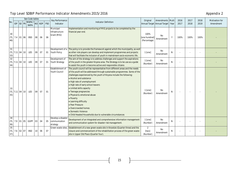|                   |                                                |         | See Code tables       |    |        |            | Key Performance                                 |                                                                                                                                                                                                                                                                                                                                                                                                                                                                                                                                                                                              | Original                              | Amendments Multi                   |          | 2016 | 2017 | 2018 | Motivation for |
|-------------------|------------------------------------------------|---------|-----------------------|----|--------|------------|-------------------------------------------------|----------------------------------------------------------------------------------------------------------------------------------------------------------------------------------------------------------------------------------------------------------------------------------------------------------------------------------------------------------------------------------------------------------------------------------------------------------------------------------------------------------------------------------------------------------------------------------------------|---------------------------------------|------------------------------------|----------|------|------|------|----------------|
| No.               | IDP SO PR                                      |         | МКРА /<br><b>NKPA</b> |    | NO NDP | <b>PSO</b> | Indicator                                       | <b>Indicator Definition</b>                                                                                                                                                                                                                                                                                                                                                                                                                                                                                                                                                                  |                                       | Annual Target Annual Target - Year |          | 2017 | 2018 | 2019 | Amendment      |
| 30<br>(TL)<br>46) | 7.4                                            | $01$ 06 | <b>BSD</b>            | 08 | 06     | 06         | Municipal<br>Infrastructure<br>Grant (MIG)      | Implementation and monitoring of MIG projects to be completed by the<br>financial year end.                                                                                                                                                                                                                                                                                                                                                                                                                                                                                                  | 100%<br>[one hundred]<br>(Percentage) | No<br>Amendment                    | <b>V</b> | 100% | 100% | 100% |                |
| 31<br>33)         | $ $ (TL 7.11 04 10                             |         | LED                   | 09 | 07     | 01         | Development of a<br>Youth Policy                | The policy is to provide the framework against which the municipality, as well<br>as other role players can develop and implement programmes and projects<br>that will facilitate the inclusion of youth in mainstream socio-economic life.                                                                                                                                                                                                                                                                                                                                                  | $1$ [one]                             | No<br>Amendment                    | N        |      |      |      |                |
| 32<br>34)         | (TL 7.11 04 10                                 |         | LED                   | 09 | 07     | 01         | Development of<br>Youth Strategy                | The aim of the strategy is to address challenges and support the aspirations<br>of the youth in the greater Knysna area. The Strategy is to be use as a guide<br>to assist the youth in become active and responsible citizens                                                                                                                                                                                                                                                                                                                                                               | $1$ [one]<br>(Number)                 | <b>No</b><br>Amendment             | N        |      |      |      |                |
| 33<br>35)         | $\vert$ (TL $\vert$ 7.11 $\vert$ 04 $\vert$ 10 |         | LED                   | 09 | 07     | 01         | <b>Establishment of</b><br><b>Youth Council</b> | The youth council will be representative from different areas and the needs<br>of the youth will be addressed through sustainable programmes. Some of the<br>challenges experienced by the youth of Knysna include the following:<br>• Alcohol and substance<br>• High rate of unemployment<br>• High rate of early school leavers<br>• Limited skills capacity<br>• Teenage pregnancies<br>· Physical & emotional abuse<br>• Poverty<br>• Learning difficulty<br>· Peer Pressure<br>· Overcrowded homes<br>• Domestic Violence<br>• Child Headed Households due to vulnerable circumstances | $1$ [one]<br>(Number)                 | <b>No</b><br>Amendment             | N        |      |      |      |                |
| 34<br>(TL)<br>36) | 7.9 01 05                                      |         | GGPP                  | 03 | 04     | 05         | Develop a disaster<br>communication<br>strategy | Development of an Integrated and comprehensive information management<br>and communication system for disaster risk management.                                                                                                                                                                                                                                                                                                                                                                                                                                                              | $1$ [one]<br>(Number)                 | <b>No</b><br>Amendment             | N        |      |      |      |                |
| 35<br>(TL)<br>37) | 7.6 02 07                                      |         | <b>BSD</b>            | 10 | 06     | 07         |                                                 | Green waste sites. <b>Establishment of a new green waste site in Knoetzie (Quarter three) and the</b><br>closure and commencement of the rehabilitation process of the green waste<br>site in Upper Old Place (Quarter four).                                                                                                                                                                                                                                                                                                                                                                | $\overline{2}$<br>[two]<br>(Number)   | No<br>Amendment                    | N        |      |      |      |                |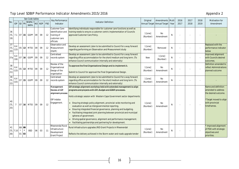|                                |                |                   |               | See Code tables<br>Key Performance |    |            | Original   | Amendments Multi                                                                     |                                                                                                                                                                                                                                                                                                                                                                                                                                                                                                                                                                                                                                                                   | 2016                  | 2017                        | 2018  | Motivation for |      |      |                                                                                                                               |
|--------------------------------|----------------|-------------------|---------------|------------------------------------|----|------------|------------|--------------------------------------------------------------------------------------|-------------------------------------------------------------------------------------------------------------------------------------------------------------------------------------------------------------------------------------------------------------------------------------------------------------------------------------------------------------------------------------------------------------------------------------------------------------------------------------------------------------------------------------------------------------------------------------------------------------------------------------------------------------------|-----------------------|-----------------------------|-------|----------------|------|------|-------------------------------------------------------------------------------------------------------------------------------|
| No.                            |                | <b>IDP SO PR</b>  |               | МКРА<br><b>NKPA</b>                | NO | <b>NDP</b> | <b>PSO</b> | Indicator                                                                            | Indicator Definition                                                                                                                                                                                                                                                                                                                                                                                                                                                                                                                                                                                                                                              |                       | Annual Target Annual Target | -Year | 2017           | 2018 | 2019 | Amendment                                                                                                                     |
| 36<br>(TL<br>19)               | 7.1            | 07 15             |               | GGPP                               | 09 | 09         | 12         | Customer Care<br>identification and<br>training of<br>customer care<br>officials     | Identifying individuals responsible for customer care functions as well as<br>training needs to ensure a customer centric implementation of Councils<br>approved Customer Care Policy.                                                                                                                                                                                                                                                                                                                                                                                                                                                                            | 1 [one]<br>(Number)   | No<br>Amendment             | N     |                |      |      |                                                                                                                               |
| 37<br>(TL)<br>20)              | 6.4<br>(13)    |                   | $05$ 13       | <b>MTID</b>                        | 09 | 09         | 12         | Observation and<br>Measurement<br>(0&M)                                              | Develop an assessment /plan to be submitted to Council for a way forward<br>regarding performing an Observation and Measurement study                                                                                                                                                                                                                                                                                                                                                                                                                                                                                                                             | $1$ [one]<br>(Number) | Removed                     | N     |                |      |      | Replaced with the<br>performance indicator<br>below                                                                           |
| 37a                            | 6.4<br>(16)    | 07                | 16            | GGPP                               | 09 | 09         | 12         | Centralised<br>records system                                                        | Develop an assessment /plan to be submitted to Council for a way forward<br>regarding office accommodation for the short/medium and long term. (To<br>enhance Council communication internally and externally)                                                                                                                                                                                                                                                                                                                                                                                                                                                    | <b>New</b>            | 1 [one]<br>(Number)         | N     |                |      |      | Improved alignment<br>with Councils desired<br>outcomes.                                                                      |
| 38<br>(1)<br>21)               | 6.4<br>(13)    | 05                | 13            | MTID                               | 09 | 09         | 12         | Review of the<br>Organisational<br>Design of the<br>organisation                     | To approve the Final Organisational Design and to implement it.<br>Submit to Council for approval the Final Organisational Design.                                                                                                                                                                                                                                                                                                                                                                                                                                                                                                                                | 1 [one]<br>(Number)   | No<br>Amendment             | N     |                |      |      | Definition amended to<br>reflect Administrations<br>planned outcome                                                           |
| 39<br>(T <sub>l</sub> )<br>22) | 6.4<br>(15)    |                   | $07$ 15       | GGPP                               | 09 | 09         | 12         | Centralised<br>records system                                                        | Develop an assessment /plan to be submitted to Council for a way forward<br>regarding office accommodation for the short/medium and long term. (To<br>enhance Council communication internally and externally)                                                                                                                                                                                                                                                                                                                                                                                                                                                    | 1 [one]<br>(Number)   | No<br>Amendment             | N     |                |      |      |                                                                                                                               |
| 40<br>(TL)<br>25)              | $\overline{7}$ |                   | 07 16         | <b>MTID</b>                        | 09 | 09         | 12         | Management<br>Review of IDP<br>alignment process<br><b>IDP Indaba</b><br>ingagement. | IDP strategic alignment workshop held with extended management to align<br>programs and projects with IDP, Budget and SDBIP processes.<br>Hold a strategic session with Western Cape Government sector departments<br>• Ensuring strategic policy alignment, provincial-wide monitoring and<br>evaluation as well as intergovernmental reporting.<br>• Ensuring integrated financial governance, planning and budgeting.<br>Facilitating integrated joint planning between provincial and municipal<br>spheres of government.<br>Driving spatial governance, alignment and performance management.<br>• Facilitating partnerships and partnering for development. | 1 [one]<br>(Number)   | No<br>Amendment             | N     |                |      |      | Name and definition<br>amended to address<br>the desired outcome.<br>*Target moved to align<br>with provincial<br>timeframes. |
| 41<br>26)                      | (TL 7.10       | $03\,$<br>$01$ 03 | 09<br>$\star$ | <b>BSD</b>                         | 06 | 03         | 11         | Rheenendal Rural<br>nfrastructure<br>Development<br><b>Grant Project</b>             | Rural infrastructure upgrades (RID Grant Projects in Rheenendal<br>Reflects the delivery achieved in the Storm water and roads upgrade tender                                                                                                                                                                                                                                                                                                                                                                                                                                                                                                                     | $1$ [one]<br>(Number) | No<br>Amendment             | N     |                |      |      | Improved alignment<br>of PDO with strategic<br>objectives and<br>priorities.                                                  |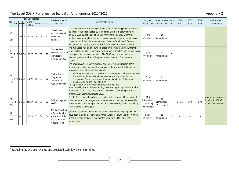|                  |                |                  | See Code tables              |           |            |                   | Key Performance                                                                                       |                                                                                                                                                                                                                                                                                                                                                                                                                                                                                                                                                                                                                                                                                                                                                   | Original                                            | <b>Amendments Multi</b>              |              | 2016  | 2017 | 2018 | <b>Motivation for</b>                                             |
|------------------|----------------|------------------|------------------------------|-----------|------------|-------------------|-------------------------------------------------------------------------------------------------------|---------------------------------------------------------------------------------------------------------------------------------------------------------------------------------------------------------------------------------------------------------------------------------------------------------------------------------------------------------------------------------------------------------------------------------------------------------------------------------------------------------------------------------------------------------------------------------------------------------------------------------------------------------------------------------------------------------------------------------------------------|-----------------------------------------------------|--------------------------------------|--------------|-------|------|------|-------------------------------------------------------------------|
| <b>No</b>        |                | <b>IDP SO PR</b> | ИКРА<br><b>NKPA</b>          | <b>NO</b> | <b>NDP</b> | <b>PSO</b>        | Indicator                                                                                             | Indicator Definition                                                                                                                                                                                                                                                                                                                                                                                                                                                                                                                                                                                                                                                                                                                              |                                                     | Annual Target Annual Target          | -Year        | 2017  | 2018 | 2019 | Amendment                                                         |
| 42<br>(TL<br>16) |                |                  | 8.2 05 16 MTID               | 09        | 09         | $12 \overline{ }$ | Project clean<br>audit: to maintain<br>la clean audit<br>opinion                                      | This indicator measures good governance and accounting practices and will<br>be evaluated and considered by the Auditor-General in determining his<br>opinion. An unqualified audit opinion refers to the position where the<br>auditor, having completed his audit, has no reservation as to the fairness of<br>presentation of financial statements and their conformity with General<br>Recognised Accounting Practices. This is referred to as a 'clean opinion'.                                                                                                                                                                                                                                                                             | 1 [one]<br>(Number)                                 | No<br>Amendment                      | $\mathsf{V}$ |       |      |      |                                                                   |
| 43<br>17)        | (TL 7.17 05 16 |                  | GGPP                         | 09        | 09         | 12                | The Risk Based<br>Internal Audit Plan<br>submitted to<br><b>Audit Committee</b>                       | The Risk Based Audit Plan (RBAP) is based on the risks identified within the<br>Municipality. The plan is approved by the Audit Committee and Council every<br>three years and reviewed annually. The RBAP may be amended more<br>frequently were required with approval from the Audit Committee and<br>Council                                                                                                                                                                                                                                                                                                                                                                                                                                  | 1 [one]<br>(Number)                                 | No<br>Amendment                      | Y            |       |      |      |                                                                   |
| 44<br>18)        |                |                  | (TL   7.17   05   16   GGPP) | 09        | 09         | 12                | <b>Quality Assurance</b><br>Programme<br>submitted to<br><b>Audit Committee</b>                       | The Internal Audit Quality Assurance and Improvement Program (QAIP) is<br>designed to provide reasonable assurance to the various stakeholders of the<br>Internal Audit activity that Internal Audit:<br>1) Performs its work in accordance with its Charter, which is consistent with<br>The Institute of Internal Auditors International Standards for the<br>Professional Practice of Internal Auditing (Standards), Definition of<br>Internal Auditing and Code of Ethics;<br>2) Operates in an effective and efficient manner; and<br>s perceived by stakeholders as adding value and improving Internal Audit's<br>operations. To that end, Internal Audit's QAIP will cover all aspects of the<br>Internal Audit activity (Standard 1300). | $1$ [one]<br>(Number)                               | No<br>Amendment                      | Y            |       |      |      |                                                                   |
| 45<br>(TL<br>23) | 8              |                  | 05 12 MFVM 09                |           | 09         | 12                | Debtor's payment<br>level <sup>3</sup>                                                                | The debtor's payment level directly relates to the municipalities capacity to<br>collect amounts due in regards to rates, service and sundry charges and is<br>fundamental to maintain positive cash flows and ensuring stability and long<br>term financial viability. (SA8)                                                                                                                                                                                                                                                                                                                                                                                                                                                                     | 94.4<br>[ninety four<br>point four]<br>(Percentage) | 83<br>[eighty three]<br>(Percentage) | Y            | 84.2% | 84%  | 84%  | Amendment required<br>to allow for iGRAP<br>(traffic fine) income |
| 46<br>(TL<br>24) | 7.1 04 11      |                  | GGPP 02                      |           | 08         | 04                | Regular reporting<br>to Council on the<br>operations of the<br>Greater Knysna<br><b>Welfare Forum</b> | Quarterly reports to the Section 80 Committee meeting on programs that<br>have been initiated by the Greater Knysna Welfare Forum and that minutes<br>of the meetings held every two months be submitted to Council for<br>information.                                                                                                                                                                                                                                                                                                                                                                                                                                                                                                           | $6$ [six]<br>(Number)                               | No<br>Amendment                      |              | 6     |      |      |                                                                   |

 3 Excluding the accrued revenue and predicted cash flow income for fines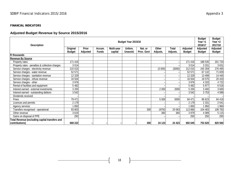#### **FINANCIAL INDICATORS**

# **Adjusted Budget Revenue by Source 2015/2016**

| <b>Description</b>                              |                                  |                                 |                        |                       | Budget Year 2015/16 |                       |                          |                          |                                  | <b>Budget</b><br>Year $+1$<br>2016/17 | <b>Budget</b><br>Year $+2$<br>2017/18 |
|-------------------------------------------------|----------------------------------|---------------------------------|------------------------|-----------------------|---------------------|-----------------------|--------------------------|--------------------------|----------------------------------|---------------------------------------|---------------------------------------|
|                                                 | <b>Original</b><br><b>Budget</b> | <b>Prior</b><br><b>Adjusted</b> | Accum.<br><b>Funds</b> | Multi-year<br>capital | Unfore.<br>Unavoid. | Nat. or<br>Prov. Govt | <b>Other</b><br>Adjusts. | <b>Total</b><br>Adjusts. | <b>Adjusted</b><br><b>Budget</b> | <b>Adjusted</b><br><b>Budget</b>      | <b>Adjusted</b><br><b>Budget</b>      |
| <b>R</b> thousands                              |                                  |                                 |                        |                       |                     |                       |                          |                          |                                  |                                       |                                       |
| <b>Revenue By Source</b>                        |                                  |                                 |                        |                       |                     |                       |                          |                          |                                  |                                       |                                       |
| Property rates                                  | 171 416                          |                                 |                        |                       |                     |                       |                          |                          | 171 416                          | 188 535                               | 201 733                               |
| Property rates - penalties & collection charges | 3 0 1 4                          |                                 |                        |                       |                     |                       |                          |                          | 3014                             | 3 3 3 1                               | 3631                                  |
| Service charges - electricity revenue           | 215 015                          |                                 |                        |                       |                     |                       | (3000)                   | (3000)                   | 212 015                          | 245 359                               | 276 495                               |
| Service charges - water revenue                 | 52 571                           |                                 |                        |                       |                     |                       |                          |                          | 52 571                           | 67 132                                | 71829                                 |
| Service charges - sanitation revenue            | 12 329                           |                                 |                        |                       |                     |                       |                          |                          | 12 3 29                          | 13 4 9 9                              | 14 4 4 5                              |
| Service charges - refuse revenue                | 16 504                           |                                 |                        |                       |                     |                       |                          |                          | 16 504                           | 18575                                 | 20 433                                |
| Service charges - other                         | 3 9 7 6                          |                                 |                        |                       |                     |                       |                          |                          | 3 9 7 6                          | 4 3 3 3                               | 4722                                  |
| Rental of facilities and equipment              | 5 4 8 2                          |                                 |                        |                       |                     |                       |                          |                          | 5 4 8 2                          | 5 9 7 7                               | 6516                                  |
| Interest earned - external investments          | 3 200                            |                                 |                        |                       |                     |                       | 2 0 0 0                  | 2000                     | 5 200                            | 3 4 0 0                               | 3 600                                 |
| Interest earned - outstanding debtors           | 3542                             |                                 |                        |                       |                     |                       |                          |                          | 3542                             | 3753                                  | 4 0 8 9                               |
| Dividends received                              |                                  |                                 |                        |                       |                     |                       |                          |                          |                                  |                                       |                                       |
| Fines                                           | 79 471                           |                                 |                        |                       |                     |                       | 5 0 0 0                  | 5000                     | 84 471                           | 86 623                                | 94 418                                |
| Licences and permits                            | 2 1 7 9                          |                                 |                        |                       |                     |                       |                          |                          | 2 1 7 9                          | 2 3 3 1                               | 2541                                  |
| Agency services                                 | 1850                             |                                 |                        |                       |                     |                       |                          |                          | 1850                             | 1950                                  | 1 9 6 0                               |
| Transfers recognised - operational              | 93 803                           |                                 |                        |                       |                     | 300                   | 19763                    | 20 063                   | 113 866                          | 104 483                               | 108 783                               |
| Other revenue                                   | 3619                             |                                 |                        |                       |                     |                       | 360                      | 360                      | 3 9 7 9                          | 4 0 8 9                               | 5 1 1 5                               |
| Gains on disposal of PPE                        | 250                              |                                 |                        |                       |                     |                       |                          |                          | 250                              | 250                                   | 250                                   |
| Total Revenue (excluding capital transfers and  |                                  |                                 |                        |                       |                     |                       |                          |                          |                                  |                                       |                                       |
| contributions)                                  | 668 222                          |                                 |                        |                       |                     | 300                   | 24 123                   | 24 4 23                  | 692 645                          | 753 620                               | 820 560                               |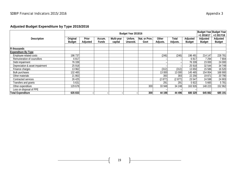# **Adjusted Budget Expenditure by Type 2015/2016**

|                                 |                 |                 |              |            | Budget Year 2015/16 |               |          |          |                 | <b>Budget Year Budget Year</b> |                 |
|---------------------------------|-----------------|-----------------|--------------|------------|---------------------|---------------|----------|----------|-----------------|--------------------------------|-----------------|
|                                 |                 |                 |              |            |                     |               |          |          |                 | +1 2016/17                     | $+22017/18$     |
| <b>Description</b>              | <b>Original</b> | <b>Prior</b>    | Accum.       | Multi-year | Unfore.             | Nat. or Prov. | Other    | Total    | <b>Adjusted</b> | <b>Adjusted</b>                | <b>Adjusted</b> |
|                                 | <b>Budget</b>   | <b>Adjusted</b> | <b>Funds</b> | capital    | Unavoid.            | Govt          | Adjusts. | Adjusts. | <b>Budget</b>   | <b>Budget</b>                  | <b>Budget</b>   |
|                                 |                 |                 |              |            |                     |               |          |          |                 |                                |                 |
| <b>R</b> thousands              |                 |                 |              |            |                     |               |          |          |                 |                                |                 |
| <b>Expenditure By Type</b>      |                 |                 |              |            |                     |               |          |          |                 |                                |                 |
| Employee related costs          | 196 737         |                 |              |            |                     |               | (246)    | (246)    | 196 491         | 214 147                        | 228 781         |
| Remuneration of councillors     | 6817            |                 |              |            |                     |               |          |          | 6817            | 7 294                          | 7804            |
| Debt impairment                 | 76 339          |                 |              |            |                     |               |          |          | 76 339          | 23 000                         | 24 000          |
| Depreciation & asset impairment | 25 918          |                 |              |            |                     |               |          |          | 25 918          | 32 544                         | 34 749          |
| Finance charges                 | 13 962          |                 |              |            |                     |               | (312)    | (312)    | 13 650          | 15 5 86                        | 16 520          |
| <b>Bulk purchases</b>           | 132 465         |                 |              |            |                     |               | 13 000   | 13 000   | 145 465         | 154 954                        | 168 900         |
| Other materials                 | 21 863          |                 |              |            |                     |               | 393      | 393      | 22 25 6         | 19871                          | 20 790          |
| Contracted services             | 26 4 25         |                 |              |            |                     |               | (2877)   | (2877)   | 23 547          | 24 5 98                        | 24 903          |
| Transfers and grants            | 5 6 3 1         |                 |              |            |                     |               | 291      | 291      | 5 9 22          | 5 6 6 5                        | 5781            |
| Other expenditure               | 129 678         |                 |              |            |                     | 300           | 33 948   | 34 248   | 163 926         | 148 223                        | 152 962         |
| Loss on disposal of PPE         |                 |                 |              |            |                     |               |          |          |                 |                                |                 |
| <b>Total Expenditure</b>        | 635 833         |                 |              |            |                     | 300           | 44 198   | 44 4 9 6 | 680 329         | 645 882                        | 685 191         |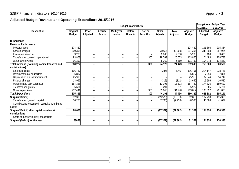#### **Adjusted Budget Revenue and Operating Expenditure 2015/2016**

|                                                              |                                  |                                 |                        |                       | Budget Year 2015/16 |                       |                          |                          |                                  | +1 2016/17                       | <b>Budget Year Budget Year</b><br>+2 2017/18 |
|--------------------------------------------------------------|----------------------------------|---------------------------------|------------------------|-----------------------|---------------------|-----------------------|--------------------------|--------------------------|----------------------------------|----------------------------------|----------------------------------------------|
| <b>Description</b>                                           | <b>Original</b><br><b>Budget</b> | <b>Prior</b><br><b>Adjusted</b> | Accum.<br><b>Funds</b> | Multi-year<br>capital | Unfore.<br>Unavoid. | Nat. or<br>Prov. Govt | <b>Other</b><br>Adjusts. | <b>Total</b><br>Adjusts. | <b>Adjusted</b><br><b>Budget</b> | <b>Adjusted</b><br><b>Budget</b> | <b>Adjusted</b><br><b>Budget</b>             |
| <b>R</b> thousands                                           |                                  |                                 |                        |                       |                     |                       |                          |                          |                                  |                                  |                                              |
| <b>Financial Performance</b>                                 |                                  |                                 |                        |                       |                     |                       |                          |                          |                                  |                                  |                                              |
| Property rates                                               | 174 430                          |                                 |                        |                       |                     |                       |                          |                          | 174 430                          | 191 866                          | 205 364                                      |
| Service charges                                              | 300 395                          |                                 |                        |                       |                     |                       | (3000)                   | (3000)                   | 297 395                          | 348 898                          | 387 924                                      |
| Investment revenue                                           | 3 200                            |                                 |                        |                       |                     |                       | 2 0 0 0                  | 2 0 0 0                  | 5 200                            | 3 4 0 0                          | 3 600                                        |
| Transfers recognised - operational                           | 93 803                           |                                 |                        |                       |                     | 300                   | 19763                    | 20 063                   | 113 866                          | 104 483                          | 108 783                                      |
| Other own revenue                                            | 96 393                           |                                 |                        |                       |                     |                       | 5 3 6 0                  | 5 3 6 0                  | 101 753                          | 104 973                          | 114 889                                      |
| Total Revenue (excluding capital transfers and               | 668 222                          |                                 |                        |                       |                     | 300                   | 24 123                   | 24 4 23                  | 692 645                          | 753 620                          | 820 560                                      |
| contributions)                                               |                                  |                                 |                        |                       |                     |                       |                          |                          |                                  |                                  |                                              |
| Employee costs                                               | 196 737                          |                                 |                        |                       |                     |                       | (246)                    | (246)                    | 196 491                          | 214 147                          | 228 781                                      |
| Remuneration of councillors                                  | 6817                             |                                 |                        |                       |                     |                       |                          |                          | 6817                             | 7 2 9 4                          | 7 8 0 4                                      |
| Depreciation & asset impairment                              | 25 918                           |                                 |                        |                       |                     |                       |                          |                          | 25 918                           | 32 544                           | 34 749                                       |
| Finance charges                                              | 13 962                           |                                 |                        |                       |                     |                       | (312)                    | (312)                    | 13 650                           | 15 5 8 6                         | 16 5 20                                      |
| Materials and bulk purchases                                 | 154 328                          |                                 |                        |                       |                     |                       | 13 3 9 3                 | 13 3 9 3                 | 167 720                          | 174 825                          | 189 690                                      |
| Transfers and grants                                         | 5631                             |                                 |                        |                       |                     |                       | 291                      | 291                      | 5922                             | 5 6 6 5                          | 5 7 8 1                                      |
| Other expenditure                                            | 232 441                          |                                 |                        |                       |                     | 300                   | 33 948                   | 34 248                   | 263 812                          | 195 822                          | 201 865                                      |
| <b>Total Expenditure</b>                                     | 635833                           |                                 |                        |                       |                     | 300                   | 44 198                   | 44 4 96                  | 680 329                          | 645 882                          | 685 191                                      |
| Surplus/(Deficit)                                            | 32 388                           |                                 |                        |                       |                     |                       | (19573)                  | (19573)                  | 12816                            | 107 738                          | 135 369                                      |
| Transfers recognised - capital                               | 56 265                           |                                 |                        |                       |                     |                       | (7730)                   | (7730)                   | 48 535                           | 46 586                           | 41 0 27                                      |
| Contributions recognised - capital & contributed             |                                  |                                 |                        |                       |                     |                       |                          |                          |                                  |                                  |                                              |
| assets                                                       |                                  |                                 |                        |                       |                     |                       |                          |                          |                                  |                                  |                                              |
| Surplus/(Deficit) after capital transfers &<br>contributions | 88 653                           |                                 |                        |                       |                     |                       | (27302)                  | (27302)                  | 61 351                           | 154 324                          | 176 396                                      |
| Share of surplus/ (deficit) of associate                     |                                  |                                 |                        |                       |                     |                       |                          |                          |                                  |                                  |                                              |
| Surplus/ (Deficit) for the year                              | 88653                            |                                 |                        |                       |                     |                       | (27302)                  | (27302)                  | 61 351                           | 154 324                          | 176 396                                      |
|                                                              |                                  |                                 |                        |                       |                     |                       |                          |                          |                                  |                                  |                                              |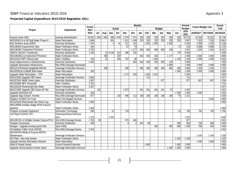# SDBIP Financial Indicators 2015/2016 and the state of the state of the state of the state of the Appendix 3

#### **Projected Capital Expenditure 2015/2016 Regulation 19(c)**

|                                             |                                          | <b>Months</b><br>Actual<br><b>Actual</b><br><b>Budget</b> |     |               |          |         |                  |            |     |         |         |     |         |                 |                  | Annual<br><b>Future Budget Year</b> |           | <b>Period</b> |
|---------------------------------------------|------------------------------------------|-----------------------------------------------------------|-----|---------------|----------|---------|------------------|------------|-----|---------|---------|-----|---------|-----------------|------------------|-------------------------------------|-----------|---------------|
| Project                                     | <b>Department</b>                        | 2014                                                      |     |               |          |         |                  |            |     |         |         |     |         |                 | <b>Budget</b>    |                                     |           | <b>Total</b>  |
|                                             |                                          | 2015                                                      | Jul | Aug           | Sep      | Oct     | <b>Nov</b>       | <b>Dec</b> | Jan | Feb     | Mar     | Apr | May     | Jun             | 2015<br>2016     | 2016/2017                           | 2017/2018 | 2014/2018     |
| Knysna Vision 2002                          | <b>Housing Administration</b>            | 25 807                                                    |     | 1 2 8 1 4 5 9 | 585      | 5 2 3 5 | 2579             | 7 2 7 1    | 160 | 160     | 160     | 160 | 160     | 160             | 19 372           | 22 0 29                             | 16 522    | 83 730        |
| MIG203923 N & NE Bulk Water Phase III       | <b>Water Reticulation</b>                | 1868                                                      |     |               | 361      |         | 1101             | 1 1 6 8    | 220 | 220     | 220     | 220 | 220     | 220             | 3 9 4 7          | 7523                                | 7523      | 20 861        |
| Elec Northern areas (INEP)                  | <b>Electricity Distribution</b>          | 1754                                                      |     |               |          | 41      | 211              | 315        |     | 1 0 9 1 | 1 000   |     | 2 6 0 2 |                 | 5 2 6 3          | 3509                                | 2 6 3 2   | 13 158        |
| MIG196403 Knysna River Dam                  | <b>Water Purification Works</b>          | 264                                                       |     |               |          |         | 67               | 79         |     |         |         |     |         | $\overline{73}$ | 219              | 5898                                | 5898      | 12 279        |
| MIG196405 Charlesford P/Scheme              | <b>Water Purification Works</b>          | 2782                                                      |     |               |          |         |                  | 1 1 7 7    | 658 | 658     | 658     | 658 | 139     |                 | 3 9 4 7          | 1629                                | 2 4 5 4   | 10812         |
| 20MVA; 66/11kV Transformer                  | <b>Electricity Distribution</b>          | 1 200                                                     |     |               | 13 6 018 | 512     | 486              | 191        |     |         |         |     |         | 779             | 8 0 0 0          |                                     |           | 9 200         |
| MIG196405(Ln):Charlesford P/Scheme          | <b>Water Purification Works</b>          |                                                           |     | 458           |          | 187     |                  |            | 392 | 392     | 392     |     | 1 1 7 7 |                 | 2 9 9 9          | 3500                                | 2 600     | 9 0 9 9       |
| MIG183223 MPC Rheenendal                    | Halls / Facilities                       | 246                                                       |     | 10            |          | 206     | 787              | 96         |     |         | 1 0 0 0 |     |         | 1 1 3 9         | 3 2 3 9          | 2 5 0 9                             | 2 5 0 9   | 8503          |
| Asset replacements & refurbishments         | <b>Electricity Distribution</b>          | 4 4 0 0                                                   |     |               |          |         |                  | 864        | 500 | 500     | 500     | 500 | 136     |                 | 3 0 0 0          |                                     |           | 7 400         |
| Upgrade Stormwater Infrastructure           | Rds, S/Wtr, Drainage: Stormwater         |                                                           |     |               |          |         |                  |            |     |         |         |     | 1 000   |                 | 1 0 0 0          | 2 000                               | 3 0 0 0   | 6000          |
| MIG221579: Rehab Sedgefield WWTW            | Sewerage Purification Services           |                                                           |     | 298           |          |         | 396              |            | 495 | 495     | 495     | 495 | 495     | 495             | 3 6 6 6          | 1 0 18                              | 1 0 18    | 5702          |
| MIG203923(Ln):N&NE Bulk Water               | <b>Water Reticulation</b>                | 200                                                       |     |               |          |         |                  |            |     |         |         |     |         | 1300            | 1 300            | 1 500                               | 2600      | 5 600         |
| Upgrade Water Reticulation - PPP            | <b>Water Reticulation</b>                |                                                           |     |               |          |         | 1173             | 839        |     | 1350    | 2 0 3 2 |     |         |                 | 5 3 9 4          |                                     |           | 5 3 9 4       |
| MIG221955 Upgrade CBD Sewer                 | <b>Sewerage Purification Services</b>    | 3 6 6 6                                                   |     |               |          |         |                  |            |     | 711     |         |     |         |                 | $\overline{711}$ |                                     |           | 4 3 7 7       |
| MIG207642 N&NE Street Lights                | <b>Electricity Distribution</b>          | 1667                                                      |     |               |          |         |                  |            |     |         |         | 877 |         |                 | 877              | 857                                 | 857       | 4 2 5 8       |
| MIG203385 MPC Smutsville                    | Halls / Facilities                       | 3701                                                      |     |               |          |         |                  |            |     |         |         |     |         |                 |                  |                                     |           | 3701          |
| MIG183226 Rheenendal New Water              | <b>Water Purification Works</b>          | 3507                                                      |     |               |          |         |                  |            |     |         |         |     |         |                 |                  |                                     |           | 3507          |
| MIG221955 Upgrade CBD Sewer &P Sta          | <b>Sewerage Purification Services</b>    |                                                           | 192 |               |          |         | 1873             |            | 341 | 341     | 341     | 341 | 67      |                 | 3 4 9 7          |                                     |           | 3 4 9 7       |
| Jpgrade Workshop S/S                        | <b>Electricity Distribution</b>          | 200                                                       |     |               |          |         |                  |            |     |         |         |     |         | 1500            | 1500             | 1500                                |           | 3 2 0 0       |
| Upgrade Bigai Stream: Hornlee               | Rds, S/Wtr, Drainage: Stormwater         | 877                                                       |     |               |          | 128     | 896              | 113        | 188 | 188     | 188     | 188 | 188     | 75              | 2 1 5 1          |                                     |           | 3 0 28        |
| Replace CX1962 Fire Truck                   | <b>Safety Fire Brigade Services</b>      |                                                           |     |               |          |         |                  |            |     |         |         |     |         |                 |                  |                                     | 3 0 0 0   | 3 0 0 0       |
| MIG183226 Rheenendal New Water Aug          | <b>Water Purification Works</b>          | 2 9 8 0                                                   |     |               |          |         |                  |            |     |         |         |     |         |                 |                  |                                     |           | 2 9 8 0       |
| MIG149009 Ancillary Sedge WTW (Cloud 9      |                                          |                                                           |     |               |          |         |                  |            |     |         |         |     |         |                 |                  |                                     |           |               |
| pipeline)                                   | <b>Water Purification Works</b>          | 2 9 6 9                                                   |     |               |          |         |                  |            |     |         |         |     |         |                 |                  |                                     |           | 2 9 6 9       |
| Program Computer Equipment                  | Information Technology                   | 590                                                       |     |               | 21       |         | $\overline{716}$ |            |     |         |         |     |         | $\overline{23}$ | 760              | 700                                 | 745       | 2 7 9 5       |
| Veh Repl:CX10222 LDV                        | <b>Cleansing Refuse Removal</b><br>Serv. | 1 1 2 3                                                   |     |               | 1523     |         |                  |            |     |         |         |     |         |                 | 1523             |                                     |           | 2 6 4 6       |
| MIG195749 L/I S/Walks Greater Knysna Ph III | Rds, S/Wtr, Drainage: Streets            | 1754                                                      | 38  |               |          |         | 379              | 460        |     |         |         |     |         |                 | 877              |                                     |           | 2631          |
| <b>Prepaid Conversions</b>                  | <b>Electricity Distribution</b>          | 500                                                       |     |               |          |         |                  |            | 100 | 98      |         |     |         | 396             | 600              | 700                                 | 800       | 2 600         |
| Bongani - Upgrade existing sports field     | <b>Sport Fields</b>                      |                                                           |     |               |          |         |                  |            |     |         | 350     |     | 350     | 600             | 1 300            | 750                                 | 400       | 2 4 5 0       |
| N2-Nekkies Traffic Circle (T&PW)            | Rds, S/Wtr, Drainage: Streets            | 2 3 4 2                                                   |     |               |          |         |                  |            |     |         |         |     |         |                 |                  |                                     |           | 2 3 4 2       |
| MIG205704 Rehab of Knysna WWTW -            |                                          |                                                           |     |               |          |         |                  |            |     |         |         |     |         |                 |                  |                                     |           |               |
| Maintenance                                 | <b>Sewerage Purification Services</b>    |                                                           |     |               |          |         |                  |            |     |         |         |     |         |                 |                  | 1 1 6 4                             | 1 1 6 4   | 2 3 2 8       |
| RO Plant - New Inlet System                 | <b>Water Purification Works</b>          |                                                           |     |               |          |         |                  |            |     |         |         |     |         | 2 100           | 2 100            |                                     |           | 2 100         |
| <b>Upgrade Hornlee Reticulation Network</b> | <b>Water Reticulation</b>                |                                                           |     |               |          |         |                  |            |     |         |         |     |         |                 |                  | 1 0 0 0                             | 1 0 0 0   | 2000          |
| Ward 8: Roads Paving                        | <b>Council General Expenses</b>          |                                                           |     |               |          |         |                  |            |     | 1 000   |         |     |         | 1000            | 2 0 0 0          |                                     |           | 2000          |
| Upgrade second phase of sewer works         | <b>Sewerage Reticulation Services</b>    |                                                           |     |               |          |         |                  |            |     |         |         |     | 1 0 0 0 | 1000            | 2 0 0 0          |                                     |           | 2 0 0 0       |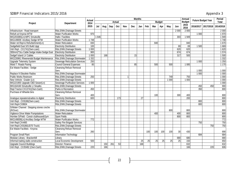# SDBIP Financial Indicators 2015/2016 and the state of the state of the state of the state of the Appendix 3

|                                           |                                          | <b>Actual</b><br>2014<br>2015<br>970 | <b>Months</b> |     |            |               |            |            |     |     |     |               |         |         |               |         |                           | Period       |
|-------------------------------------------|------------------------------------------|--------------------------------------|---------------|-----|------------|---------------|------------|------------|-----|-----|-----|---------------|---------|---------|---------------|---------|---------------------------|--------------|
| Project                                   | <b>Department</b>                        |                                      |               |     |            | <b>Actual</b> |            |            |     |     |     | <b>Budget</b> |         |         | <b>Budget</b> |         | <b>Future Budget Year</b> | <b>Total</b> |
|                                           |                                          |                                      | Jul           | Aug | <b>Sep</b> | Oct           | <b>Nov</b> | <b>Dec</b> | Jan | Feb | Mar | Apr           | May     | Jun     | 2015<br>2016  |         | 2016/2017 2017/2018       | 2014/2018    |
| Infrastructure - Road transport           | Rds, S/Wtr, Drainage: Streets            |                                      |               |     |            |               |            |            |     |     |     |               |         | 2 0 0 0 | 2 0 0 0       |         |                           | 2 0 0 0      |
| Refurb at Knysna WTW                      | <b>Water Purification Works</b>          |                                      |               |     |            |               |            |            |     |     |     |               |         |         |               | 1 0 0 0 |                           | 1970         |
| MIG203385(Ln):MPC Smutsville              | Halls / Facilities                       |                                      | 1646          |     |            |               |            |            |     |     |     |               |         | 303     | 1949          |         |                           | 1 9 4 9      |
| MIG149009: Ancillary Sedge WTW            | <b>Water Purification Works</b>          | 1748                                 |               |     |            |               |            |            |     |     |     |               |         |         |               |         |                           | 1748         |
| Water ret: Repl & Refurbishment(Ln)       | <b>Water Reticulation</b>                | 830                                  |               |     |            |               |            |            |     |     | 840 |               |         |         | 840           |         |                           | 1670         |
| Sedgefield East S/S Build Upgr            | <b>Electricity Distribution</b>          | 100                                  |               |     |            |               |            |            |     |     |     |               |         | 69      | 69            | 1500    |                           | 1669         |
| Veh Repl - CX1741(Own-Loan)               | Rds, S/Wtr, Drainage: Streets            | 1 0 0 0                              |               |     |            |               |            |            |     |     |     |               |         | 620     | 620           |         |                           | 1620         |
| 300mm2*3cu Cable Sedge intake-Sedge East  | <b>Electricity Distribution</b>          | 900                                  |               |     |            |               |            |            |     |     |     |               |         | 674     | 674           |         |                           | 1574         |
| Sedgef Island LV Cables                   | <b>Electricity Distribution</b>          | 1 0 0 0                              |               | 168 |            |               |            | 15         |     |     |     |               |         | 317     | 500           |         |                           | 1500         |
| MIG226961 Rheenendal Budget Maintenance   | Rds, S/Wtr, Drainage: Stormwater         | 1 3 3 2                              |               |     |            |               |            |            |     |     |     |               |         |         |               |         |                           | 1 3 3 2      |
| <b>Upgrade Telemetry System</b>           | <b>Sewerage Reticulation Services</b>    | 250                                  |               |     |            |               |            |            |     |     |     |               |         |         |               | 1 0 0 0 |                           | 1 2 5 0      |
| Ward 7: Roads Paving                      | <b>Council General Expenses</b>          | 85                                   |               |     |            |               |            | 85         |     |     | 500 |               | 500     |         | 1 0 8 5       |         |                           | 1 1 7 0      |
| <b>Est Waste Facilities - Sedge</b>       | <b>Cleansing Refuse Removal</b><br>Serv. |                                      |               |     |            |               |            |            |     |     |     |               |         |         |               | 1 0 0 0 |                           | 1 0 0 0      |
| Replace 9 Obsolete Radios                 | Rds, S/Wtr, Drainage: Stormwater         |                                      |               |     |            |               |            |            |     |     |     |               |         |         |               | 1 0 0 0 |                           | 1 0 0 0      |
| <b>Public Works Restroom</b>              | Rds, S/Wtr, Drainage: Streets            | 250                                  |               |     |            |               |            |            |     |     |     |               | 749     |         | 750           |         |                           | 1 0 0 0      |
| New Vehicle : Grader (Ln)                 | Rds, S/Wtr, Drainage: Streets            |                                      |               |     |            |               |            |            |     |     |     |               | 1 0 0 0 |         | 1 0 0 0       |         |                           | 1 0 0 0      |
| MIG221955 Upgrade CBD Sewer(Ln)           | <b>Sewerage Purification Services</b>    | 1 0 0 0                              |               |     |            |               |            |            |     |     |     |               |         |         |               |         |                           | 1 0 0 0      |
| MIG164160 Smutsville LI S/walks           | Rds, S/Wtr, Drainage: Streets            |                                      |               |     |            |               |            |            |     |     |     |               |         |         |               | 450     | 450                       | 900          |
| Repl Tractor-CX13741(Own-Cash)            | Parks & Recreation                       | 450                                  |               |     |            |               |            |            |     |     |     |               |         |         |               | 350     |                           | 800          |
| Purchase of Wheelie bins                  | <b>Cleansing Refuse Removal</b>          |                                      |               |     |            |               |            |            |     |     |     |               |         |         |               |         |                           |              |
|                                           | Serv.                                    | 400                                  |               |     |            |               |            |            |     |     | 100 |               |         | 300     | 400           |         |                           | 800          |
| Analogue repeaters&radios to digital      | <b>Electricity Distribution</b>          | 600                                  |               |     |            | 173           |            |            | 27  |     |     |               |         |         | 200           |         |                           | 800          |
| Veh Repl - CX9186(Own-Loan)               | Rds, S/Wtr, Drainage: Streets            |                                      |               |     |            |               |            |            |     |     |     |               |         |         |               | 800     |                           | 800          |
| Veh Repl-CX8604                           | Rds, S/Wtr, Drainage: Streets            |                                      |               |     |            |               |            |            |     |     |     |               |         |         |               | 800     |                           | 800          |
| S/Water Channel : Stepping stones creche  |                                          |                                      |               |     |            |               |            |            |     |     |     |               |         |         |               |         |                           |              |
| (R/Over)                                  | Rds, S/Wtr, Drainage: Stormwater         |                                      |               |     |            |               |            |            |     |     |     |               | 800     |         | 800           |         |                           | 800          |
| <b>Vigilance Drive Water Pumpstations</b> | <b>Water Reticulation</b>                |                                      |               |     |            |               |            |            |     |     | 400 |               |         | 400     | 800           |         |                           | 800          |
| Hornlee S/Field - Constr clubhouse&Gym    | <b>Sport Fields</b>                      |                                      |               |     |            |               |            |            |     |     |     |               |         | 800     | 800           |         |                           | 800          |
| MIG149009(Ln): Ancillary Sedge WTW        | <b>Water Purification Works</b>          | 772                                  |               |     |            |               |            |            |     |     |     |               |         |         |               |         |                           | 772          |
| Veh Repl:CX4485                           | Safety Fire Brigade Services             |                                      |               |     |            |               |            |            |     |     |     |               |         |         |               | 750     |                           | 750          |
| Veh Repl:CX9186(UD70 Truck)               | Rds, S/Wtr, Drainage: Streets            |                                      |               |     |            |               |            |            |     |     |     |               |         |         |               |         | 750                       | 750          |
| Est Waste Facilities - Knysna             | <b>Cleansing Refuse Removal</b><br>Serv. | 260                                  |               |     |            |               |            |            |     | 100 | 100 | 100           | 100     | 30      | 430           |         |                           | 690          |
| <b>Program Small Plant</b>                | Information Technology                   |                                      |               |     |            |               |            |            |     |     |     |               |         |         |               | 684     |                           | 684          |
| Modular Library - Brackenhill             | Library                                  |                                      |               |     |            |               |            |            |     |     |     |               |         | 680     | 680           |         |                           | 680          |
| Informal trading stalls construction      | Local Economic Development               | 500                                  |               |     |            |               |            |            | 25  | 25  | 25  | 25            | 25      | 25      | 150           |         |                           | 650          |
| <b>Upgrade Council Buildings</b>          | Director: Finance                        |                                      |               | 150 | 261        | 53            |            |            | 168 |     |     |               |         |         | 632           |         |                           | 632          |
| Veh Repl - CX35482 (Own-Cash)             | Rds, S/Wtr, Drainage: Streets            | 220                                  |               | 166 |            |               |            |            |     |     |     |               |         |         | 166           |         | 220                       | 606          |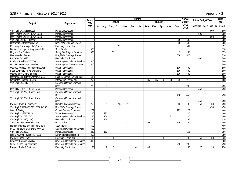# SDBIP Financial Indicators 2015/2016 and the state of the state of the state of the state of the state of the Appendix 3

|                                             |                                       | <b>Months</b><br><b>Annual</b><br><b>Future Budget Year</b><br><b>Actual</b> |     |                |            |               |            |            |     |     |            |                 |     | <b>Period</b>    |                  |           |                     |       |
|---------------------------------------------|---------------------------------------|------------------------------------------------------------------------------|-----|----------------|------------|---------------|------------|------------|-----|-----|------------|-----------------|-----|------------------|------------------|-----------|---------------------|-------|
| Project                                     | <b>Department</b>                     | 2014                                                                         |     |                |            | Actual        |            |            |     |     |            | <b>Budget</b>   |     |                  | <b>Budget</b>    |           |                     | Total |
|                                             |                                       | 2015                                                                         | Jul | Aug            | <b>Sep</b> | <b>Oct</b>    | <b>Nov</b> | <b>Dec</b> | Jan | Feb | <b>Mar</b> | Apr             | May | Jun              | 2015<br>2016     | 2016/2017 | 2017/2018 2014/2018 |       |
| Veh Repl:CX15016(Tractor)                   | Parks & Recreation                    |                                                                              |     |                |            |               |            |            |     |     |            |                 |     |                  |                  |           | 600                 | 600   |
| Repl Tractor-CX34739(Own-Cash)              | Parks & Recreation                    |                                                                              |     |                |            |               |            |            |     |     |            |                 |     |                  |                  | 600       |                     | 600   |
| Repl Tractor-CX24232(Own-Cash)              | Parks & Recreation                    |                                                                              |     |                |            |               |            |            |     |     |            |                 |     |                  |                  |           | 600                 | 600   |
| Veh Repl:CX2863 - Tractor                   | Parks & Recreation                    |                                                                              |     |                |            |               |            |            |     |     |            |                 |     | 600              | 600              |           |                     | 600   |
| Heatherdale str Rehabilitation              | Rds, S/Wtr, Drainage: Streets         |                                                                              |     |                |            |               |            |            |     |     |            |                 |     | 600              | 600              |           |                     | 600   |
| Recovery Truck as per T49 Specs             | <b>Electricity Distribution</b>       |                                                                              |     |                |            | 591           |            |            |     |     |            |                 |     |                  | 591              |           |                     | 591   |
| Damsebos- Upgr existing sportsfield         | <b>Sport Fields</b>                   | 570                                                                          |     |                |            |               |            |            |     |     |            |                 |     |                  |                  |           |                     | 570   |
| <b>Upgrade Fire Station</b>                 | <b>Safety Fire Brigade Services</b>   | 500                                                                          |     |                | 28         |               |            |            |     |     |            |                 |     |                  | 35               |           |                     | 535   |
| New Vehicle : Grader                        | Rds, S/Wtr, Drainage: Streets         |                                                                              |     |                |            |               |            |            |     |     |            |                 |     | 520              | 520              |           |                     | 520   |
| Repl Veh:CX19897                            | <b>Electricity Distribution</b>       |                                                                              |     |                |            |               |            |            |     |     |            |                 |     |                  |                  | 500       |                     | 500   |
| <b>Biodiscs: Belvidere WWTW</b>             | <b>Sewerage Reticulation Services</b> | 500                                                                          |     |                |            |               |            |            |     |     |            |                 |     |                  |                  |           |                     | 500   |
| <b>Upgr Hornlee sanitation/toilets</b>      | Sewerage Sanitation Services          | 500                                                                          |     |                |            |               |            |            |     |     |            |                 |     |                  |                  |           |                     | 500   |
| <b>Upgrade Hornlee Reticulation Network</b> | <b>Water Reticulation</b>             |                                                                              |     |                |            |               |            |            |     |     |            |                 |     | 500              | 500              |           |                     | 500   |
| Inst Flowmeters-All wtr p/stations          | <b>Water Reticulation</b>             |                                                                              |     |                |            |               |            |            |     |     |            |                 |     | 500              | 500              |           |                     | 500   |
| Upgrading of Gouna pipeline                 | <b>Water Reticulation</b>             |                                                                              |     |                |            |               |            |            |     |     |            |                 |     | 500              | 500              |           |                     | 500   |
| Upgr roads and stormwater: Prof fees        | Local Economic Development            | 485                                                                          |     |                |            |               |            |            |     |     |            |                 |     |                  |                  |           |                     | 485   |
| <b>Generator: Finance Building</b>          | <b>Information Technology</b>         | 250                                                                          |     |                |            |               |            |            | 36  | 36  | 36         | $\overline{36}$ | 36  | $\overline{36}$  | 218              |           |                     | 468   |
| Veh Repl: CX41117 LDV                       | <b>Cleansing Refuse Removal</b>       |                                                                              |     |                |            |               |            |            |     |     |            |                 |     |                  |                  |           |                     |       |
|                                             | Serv.                                 | 220                                                                          |     | 235            |            |               |            |            |     |     |            |                 |     |                  | 235              |           |                     | 455   |
| Repl LDV- CX21535(Own-Cash)                 | Parks & Recreation                    |                                                                              |     |                |            |               |            |            |     |     |            |                 |     |                  |                  | 450       |                     | 450   |
| Veh Repl: CX22775 Tipper Truck              | <b>Cleansing Refuse Removal</b>       |                                                                              |     |                |            |               |            |            |     |     |            |                 |     |                  |                  |           |                     |       |
|                                             | Serv.                                 |                                                                              |     |                |            |               |            |            |     |     |            |                 |     | 450              | 450              |           |                     | 450   |
| Veh Repl:CX22773 Tipper truck               | <b>Cleansing Refuse Removal</b>       |                                                                              |     |                |            |               |            |            |     |     |            |                 |     |                  |                  |           |                     |       |
|                                             | Serv.                                 |                                                                              |     |                |            |               |            |            |     |     |            |                 |     |                  |                  | 450       |                     | 450   |
| Program Tools & Equipment                   | <b>Director: Technical Services</b>   | 250                                                                          |     | 9              |            | 16            |            |            |     |     |            |                 |     | 66               | 100              | 50        | 50                  | 450   |
| Veh Repl: CX9186 35700 15016 24232          | Rds, S/Wtr, Drainage: Streets         |                                                                              |     |                |            |               |            |            |     |     |            |                 |     |                  |                  |           | 450                 | 450   |
| Ward 4 Paving                               | <b>Council General Expenses</b>       | 222                                                                          |     |                |            |               |            |            |     |     |            |                 |     | $\overline{222}$ | $\overline{222}$ |           |                     | 444   |
| Veh Repl: CX25575 LDV                       | <b>Water Reticulation</b>             | 220                                                                          |     | 220            |            |               |            |            |     |     |            |                 |     |                  | 220              |           |                     | 440   |
| Veh Repl:CX3779 LDV                         | <b>Sewerage Reticulation Services</b> | 220                                                                          |     | 166            |            | $\mathfrak z$ |            |            |     |     |            |                 | 52  |                  | 220              |           |                     | 440   |
| Veh Repl:CX8429(Loan)                       | <b>Electricity Distribution</b>       | 250                                                                          |     | 166            |            |               |            |            |     |     |            |                 |     |                  | 166              |           |                     | 416   |
| The Island-Est ablution facilities          | <b>Public Toilets</b>                 | 200                                                                          |     |                |            |               |            |            |     | 96  |            |                 |     | 100              | 200              |           |                     | 400   |
| Hornlee Upgrade existing sports field       | <b>Sport Fields</b>                   | 400                                                                          |     |                |            |               |            |            |     |     |            |                 |     |                  |                  |           |                     | 400   |
| MIG178845(Ln) Ext Knysna WWTW               | <b>Sewerage Purification Services</b> | 400                                                                          |     |                |            |               |            |            |     |     |            |                 |     |                  |                  |           |                     | 400   |
| Veh Repl:CX23980                            | Parks & Recreation                    | 220                                                                          |     | 166            |            |               |            |            |     |     |            |                 |     |                  | 166              |           |                     | 386   |
| Repl CX13904 Toyota Hilux 1999              | <b>Safety Traffic Department</b>      | 350                                                                          |     |                |            |               |            |            |     |     |            |                 |     |                  |                  |           |                     | 350   |
| <b>Program Small Plant</b>                  | <b>Electricity Distribution</b>       | 130                                                                          |     |                |            |               |            |            |     |     |            | 98              |     |                  | 100              | 50        | 50                  | 330   |
| <b>Biodiscs: Karatara WWTW</b>              | <b>Sewerage Reticulation Services</b> | 300                                                                          |     |                |            |               |            |            |     |     |            |                 |     |                  |                  |           |                     | 300   |
| Sewer pumps Replacements                    | Sewerage Reticulation Services        |                                                                              |     |                |            |               |            |            |     |     |            |                 |     | 293              | 293              |           |                     | 293   |
| Program Tools & Equipment                   | <b>Electricity Distribution</b>       | 180                                                                          |     | $\overline{2}$ | 3          |               |            |            |     | 40  |            |                 |     |                  | 50               | 20        | 20                  | 270   |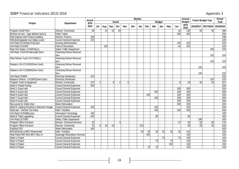# SDBIP Financial Indicators 2015/2016 and the state of the state of the state of the state of the state of the Appendix 3

|                                             |                                          |                       |     |     |     |               |            |            | <b>Months</b> |     |                 |                 |     |                 | <b>Annual</b> |           |                           | Period       |
|---------------------------------------------|------------------------------------------|-----------------------|-----|-----|-----|---------------|------------|------------|---------------|-----|-----------------|-----------------|-----|-----------------|---------------|-----------|---------------------------|--------------|
| Project                                     | <b>Department</b>                        | <b>Actual</b><br>2014 |     |     |     | <b>Actual</b> |            |            |               |     |                 | <b>Budget</b>   |     |                 | <b>Budget</b> |           | <b>Future Budget Year</b> | <b>Total</b> |
|                                             |                                          | 2015                  | Jul | Aug | Sep | Oct           | <b>Nov</b> | <b>Dec</b> | Jan           | Feb | Mar             | Apr             | May | Jun             | 2015<br>2016  | 2016/2017 | 2017/2018                 | 2014/2018    |
| <b>Program Small Plant</b>                  | Director: Community                      | 38                    |     | 24  | 25  | 63            |            |            |               |     |                 |                 |     | 18              | 130           | 50        | 50                        | 268          |
| Brenton-on-sea - Upgr ablution fac(Ln)      | <b>Public Toilets</b>                    |                       |     |     |     |               |            |            |               |     |                 |                 |     | 250             | 250           |           |                           | 250          |
| Repl leaking roofs Finance building         | Director: Finance                        | 238                   |     |     |     |               |            |            |               |     |                 |                 |     |                 |               |           |                           | 238          |
| Refurbish/upgrade mun bldgs (Loan)          | <b>Council General Expenses</b>          | 220                   |     |     |     |               |            |            |               |     |                 |                 |     |                 |               |           |                           | 220          |
| Veh Repl:CX14250(LDV)(Loan)                 | <b>Housing Administration</b>            |                       |     |     |     |               |            |            |               |     |                 |                 |     | 220             | 220           |           |                           | 220          |
| Veh Repl:CX10260                            | Parks & Recreation                       |                       |     | 166 |     |               |            |            |               |     |                 |                 |     | 54              | 220           |           |                           | 220          |
| Repl Veh Sedan- CX44676(Ln)                 | Safety Traffic Department                |                       |     |     |     |               |            |            |               |     |                 |                 |     |                 |               |           | 220                       | 220          |
| Veh Repl: CX22154 Mercedez Benz             | <b>Cleansing Refuse Removal</b><br>Serv. |                       |     |     |     |               |            |            |               |     |                 |                 |     |                 |               |           | 220                       | 220          |
| Repl Refuse Truck-CX17319(Ln)               | <b>Cleansing Refuse Removal</b><br>Serv. |                       |     |     |     |               |            |            |               |     |                 |                 |     |                 |               |           | 220                       | 220          |
| Replace LDV-CX10320(Own-Cash)               | <b>Cleansing Refuse Removal</b><br>Serv. |                       |     |     |     |               |            |            |               |     |                 |                 |     |                 |               | 220       |                           | 220          |
| Replace LDV-CX26963(Own-Cash)               | <b>Cleansing Refuse Removal</b><br>Serv. |                       |     |     |     |               |            |            |               |     |                 |                 |     |                 |               | 220       |                           | 220          |
| Veh Repl:CX3600                             | <b>Electricity Distribution</b>          | 220                   |     |     |     |               |            |            |               |     |                 |                 |     |                 |               |           |                           | 220          |
| Replace Vehicle - CX18825(Own-Cash)         | <b>Electricity Distribution</b>          |                       |     |     |     |               |            |            |               |     |                 |                 |     |                 |               |           | 220                       | 220          |
| Program Tools & Equipment                   | Director: Community                      | 147                   |     |     |     |               |            |            |               |     |                 |                 |     | $\sqrt{2}$      | 20            | 20        | 20                        | 207          |
| Ward 4: Roads Paving                        | <b>Council General Expenses</b>          | 200                   |     |     |     |               |            |            |               |     |                 |                 |     |                 |               |           |                           | 200          |
| Ward 1 Guard rails                          | <b>Council General Expenses</b>          |                       |     |     |     |               |            |            |               |     |                 |                 |     | 200             | 200           |           |                           | 200          |
| Ward 3 Guard rails                          | <b>Council General Expenses</b>          |                       |     |     |     |               |            |            |               |     | 100             |                 |     | 100             | 200           |           |                           | 200          |
| Ward 6 Guard rails                          | <b>Council General Expenses</b>          |                       |     |     |     |               |            |            |               | 100 |                 |                 |     | 100             | 200           |           |                           | 200          |
| Ward 7 Guard rails                          | <b>Council General Expenses</b>          |                       |     |     |     |               |            |            |               |     | 100             |                 |     | 100             | 200           |           |                           | 200          |
| Ward 8 Guard rails                          | <b>Council General Expenses</b>          |                       |     |     |     |               |            |            |               |     |                 |                 |     | 200             | 200           |           |                           | 200          |
| New pump for Glebe Dam                      | <b>Water Reticulation</b>                |                       |     |     |     |               |            |            |               |     |                 |                 |     | 200             | 200           |           |                           | 200          |
| Ward 8: Lighting Stroebel to Rykmans Hoogte | <b>Council General Expenses</b>          | 100                   |     |     |     |               |            |            |               |     | 100             |                 |     |                 | 100           |           |                           | 200          |
| Staircase - Hornlee Taxi Rank               | Halls / Facilities                       |                       |     |     |     |               |            |            |               |     | 100             |                 |     | 100             | 200           |           |                           | 200          |
| Veh Repl:CX25388(Loan)                      | <b>Information Technology</b>            | 190                   |     |     |     |               |            |            |               |     |                 |                 |     |                 |               |           |                           | 190          |
| Ward 8: Parks upgrading                     | <b>Council General Expenses</b>          | 100                   |     |     |     |               |            |            |               |     | 85              |                 |     |                 | 85            |           |                           | 185          |
| Veh Repl:CX27882                            | <b>Safety Traffic Department</b>         |                       |     |     |     |               |            |            |               |     |                 |                 |     |                 |               | 180       |                           | 180          |
| Program Office Furniture                    | <b>Director: Technical Services</b>      | 35                    |     |     |     |               |            |            |               |     |                 |                 |     | 27              | 30            | 50        | 60                        | 175          |
| Program Office Furniture                    | Director: Community                      | $\overline{76}$       | 6   | 42  | 16  |               |            |            | (13)          |     |                 |                 |     |                 | 50            | 20        | 20                        | 166          |
| <b>Eastford VFD</b>                         | <b>Water Reticulation</b>                | 160                   |     |     |     |               |            |            |               |     |                 |                 |     |                 |               |           |                           | 160          |
| MIG183223(Ln):MPC Rheenendal                | Halls / Facilities                       |                       |     |     |     |               |            |            | 26            | 26  | 26              | 26              | 26  | 26              | 155           |           |                           | 155          |
| Repl Robot RW 4021 BR-V 9kw x4              | <b>Sewerage Reticulation Services</b>    |                       |     |     |     |               |            |            |               | 155 |                 |                 |     |                 | 155           |           |                           | 155          |
| Ward 1 Project                              | <b>Council General Expenses</b>          |                       |     |     |     |               |            |            |               |     |                 | $\overline{75}$ |     | $\overline{75}$ | 150           |           |                           | 150          |
| Ward 3 Project                              | <b>Council General Expenses</b>          |                       |     |     |     |               |            |            |               |     | $\overline{75}$ |                 | 75  |                 | 150           |           |                           | 150          |
| Ward 4 Project                              | <b>Council General Expenses</b>          |                       |     |     |     |               |            |            |               |     |                 |                 | 150 |                 | 150           |           |                           | 150          |
| Ward 5 Project                              | <b>Council General Expenses</b>          |                       |     |     |     |               |            |            |               | 75  | 75              |                 |     |                 | 150           |           |                           | 150          |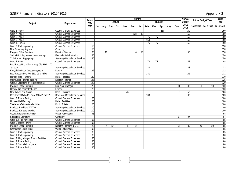# SDBIP Financial Indicators 2015/2016 and the state of the state of the state of the state of the Appendix 3

|                                         |                                       | <b>Actual</b>    | <b>Months</b><br><b>Actual</b><br><b>Budget</b> |     |     |            |            |            |     |                 |               |     |     |            |              | Annual<br><b>Future Budget Year</b> |                     | <b>Period</b> |  |
|-----------------------------------------|---------------------------------------|------------------|-------------------------------------------------|-----|-----|------------|------------|------------|-----|-----------------|---------------|-----|-----|------------|--------------|-------------------------------------|---------------------|---------------|--|
| Project                                 | <b>Department</b>                     | 2014             |                                                 |     |     |            |            |            |     |                 | <b>Budget</b> |     |     | Total      |              |                                     |                     |               |  |
|                                         |                                       | 2015             | Jul                                             | Aug | Sep | <b>Oct</b> | <b>Nov</b> | <b>Dec</b> | Jan | Feb             | Mar           | Apr | May | <b>Jun</b> | 2015<br>2016 |                                     | 2016/2017 2017/2018 | 2014/2018     |  |
| Ward 6 Project                          | <b>Council General Expenses</b>       |                  |                                                 |     |     |            |            |            |     |                 |               | 150 |     |            | 150          |                                     |                     | 150           |  |
| Ward 7 Project                          | <b>Council General Expenses</b>       |                  |                                                 |     |     |            |            | 138        | 12  |                 |               |     |     |            | 150          |                                     |                     | 150           |  |
| Ward 8 Project                          | <b>Council General Expenses</b>       |                  |                                                 |     |     |            |            |            |     | $\overline{75}$ | 75            |     |     |            | 150          |                                     |                     | 150           |  |
| Ward 9 Project                          | <b>Council General Expenses</b>       |                  |                                                 |     |     |            |            |            |     | 150             |               |     |     |            | 150          |                                     |                     | 150           |  |
| Ward 10 Project                         | <b>Council General Expenses</b>       |                  |                                                 |     |     |            |            |            |     | 75              | 75            |     |     |            | 150          |                                     |                     | 150           |  |
| Ward 9: Parks upgrading                 | <b>Council General Expenses</b>       | 150              |                                                 |     |     |            |            |            |     |                 |               |     |     |            |              |                                     |                     | 150           |  |
| New Cemetery Knysna                     | Cemetery                              | 150              |                                                 |     |     |            |            |            |     |                 |               |     |     |            |              |                                     |                     | 150           |  |
| Program Office Furniture                | Director: Finance                     | 100              |                                                 | 16  |     |            |            | 6          | 26  |                 |               |     |     |            | 50           |                                     |                     | 150           |  |
| Sedgef-Building renovation-Workshop     | <b>Electricity Administration</b>     | 150              |                                                 |     |     |            |            |            |     |                 |               |     |     |            |              |                                     |                     | 150           |  |
| T10 Gorman Rupp pump                    | <b>Sewerage Reticulation Services</b> | 150              |                                                 |     |     |            |            |            |     |                 |               |     |     |            |              |                                     |                     | 150           |  |
| Ward 2 Project                          | <b>Council General Expenses</b>       |                  |                                                 |     |     |            |            |            |     | 73              | 75            |     |     |            | 148          |                                     |                     | 148           |  |
| Repl Robot Und Milkw, Coney GlenHW 3270 |                                       |                  |                                                 |     |     |            |            |            |     |                 |               |     |     |            |              |                                     |                     |               |  |
| 2/4 pole                                | <b>Sewerage Reticulation Services</b> |                  |                                                 |     |     |            |            |            |     | 133             |               |     |     |            | 133          |                                     |                     | 133           |  |
| Khayalethu: Book Detection system       | Library                               | $\overline{132}$ |                                                 |     |     |            |            |            |     |                 |               |     |     |            |              |                                     |                     | 132           |  |
| Repl Robot S/field RW 6132 JL-V 48kw    | <b>Sewerage Reticulation Services</b> |                  |                                                 |     |     |            |            |            |     | 131             |               |     |     |            | 131          |                                     |                     | 131           |  |
| Hornlee Hall - Fencing                  | Halls / Facilities                    | 130              |                                                 |     |     |            |            |            |     |                 |               |     |     |            |              |                                     |                     | 130           |  |
| <b>Upgr Sedge Finance building</b>      | Director: Finance                     | 125              |                                                 |     |     |            |            |            |     |                 |               |     |     |            |              |                                     |                     | 125           |  |
| Ward1: Upgrading of Tourist facilities  | <b>Council General Expenses</b>       | 120              |                                                 |     |     |            |            |            |     |                 |               |     |     |            |              |                                     |                     | 120           |  |
| Program Office Furniture                | Municipal Manager                     | 70               |                                                 |     |     |            |            |            |     |                 |               |     |     | 30         | 30           | 10                                  | 10                  | 120           |  |
| Hornlee Lib: Perimeter Fence            | Library                               | 120              |                                                 |     |     |            |            |            |     |                 |               |     |     |            |              |                                     |                     | 120           |  |
| New Tables and Chairs                   | Halls / Facilities                    | 56               |                                                 |     |     |            | 43         |            |     |                 |               |     |     |            | 50           |                                     |                     | 106           |  |
| Repl Robot RW 4020 BZ-V 13kw Pump x2    | <b>Sewerage Reticulation Services</b> |                  |                                                 |     |     |            |            |            |     | 103             |               |     |     |            | 103          |                                     |                     | 103           |  |
| Ward 3: Roads Paving                    | <b>Council General Expenses</b>       | 100              |                                                 |     |     |            |            |            |     |                 |               |     |     |            |              |                                     |                     | 100           |  |
| Hornlee Hall Fencing                    | Halls / Facilities                    | 100              |                                                 |     |     |            |            |            |     |                 |               |     |     |            |              |                                     |                     | 100           |  |
| The Island-Est ablution facilities      | <b>Public Toilets</b>                 | 100              |                                                 |     |     |            |            |            |     |                 |               |     |     |            |              |                                     |                     | 100           |  |
| <b>Biodiscs: Belvidere WWTW</b>         | <b>Sewerage Reticulation Services</b> | 100              |                                                 |     |     |            |            |            |     |                 |               |     |     |            |              |                                     |                     | 100           |  |
| <b>Biodiscs: Karatara WWTW</b>          | <b>Sewerage Reticulation Services</b> | 100              |                                                 |     |     |            |            |            |     |                 |               |     |     |            |              |                                     |                     | 100           |  |
| Gouna Replacement Pump                  | <b>Water Reticulation</b>             | 98               |                                                 |     |     |            |            |            |     |                 |               |     |     |            |              |                                     |                     | 98            |  |
| Sedgefield Cemetery                     | Cemetery                              |                  |                                                 |     |     |            |            |            |     |                 |               |     |     | 97         | 97           |                                     |                     | 97            |  |
| Ward 10: Taxi rank stalls               | <b>Council General Expenses</b>       | 95               |                                                 |     |     |            |            |            |     |                 |               |     |     |            |              |                                     |                     | 95            |  |
| Ward 5: Roads Paving                    | <b>Council General Expenses</b>       | 95               |                                                 |     |     |            |            |            |     |                 |               |     |     |            |              |                                     |                     | 95            |  |
| Program Office Furniture                | Director: Planning & I.H.S            | 25               |                                                 |     | (2) |            |            |            |     |                 |               |     |     | 21         | 30           | 20                                  | 20                  | 95            |  |
| <b>Charlesford Spare Motor</b>          | <b>Water Reticulation</b>             | 95               |                                                 |     |     |            |            |            |     |                 |               |     |     |            |              |                                     |                     | 95            |  |
| Ward 7: Parks upgrading                 | <b>Council General Expenses</b>       | 85               |                                                 |     |     |            |            |            |     |                 |               |     |     |            |              |                                     |                     | 85            |  |
| Ward 1: Parks upgrading                 | <b>Council General Expenses</b>       | 80               |                                                 |     |     |            |            |            |     |                 |               |     |     |            |              |                                     |                     | 80            |  |
| Ward 2: Upgrading of Tourist Facilities | <b>Council General Expenses</b>       | 80               |                                                 |     |     |            |            |            |     |                 |               |     |     |            |              |                                     |                     | 80            |  |
| Ward 2: Roads Paving                    | <b>Council General Expenses</b>       | 80               |                                                 |     |     |            |            |            |     |                 |               |     |     |            |              |                                     |                     | 80            |  |
| Ward 3: Sportsfield upgrade             | <b>Council General Expenses</b>       | $\overline{80}$  |                                                 |     |     |            |            |            |     |                 |               |     |     |            |              |                                     |                     | 80            |  |
| Ward 6: Roads Paving                    | <b>Council General Expenses</b>       | 80               |                                                 |     |     |            |            |            |     |                 |               |     |     |            |              |                                     |                     | 80            |  |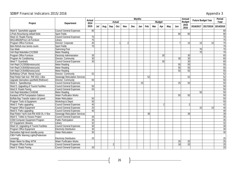#### SDBIP Financial Indicators 2015/2016 Appendix 3.5 and 3.5 and 3.5 and 3.5 and 3.5 and 3.5 and 3.5 and 3.5 and 3.5 and 3.5 and 3.5 and 3.5 and 3.5 and 3.5 and 3.5 and 3.5 and 3.5 and 3.5 and 3.5 and 3.5 and 3.5 and 3.5 and

| Appendix 3 |  |
|------------|--|
|            |  |

|                                                |                                       | <b>Actual</b><br>2014<br>2015<br>80 | <b>Months</b><br><b>Annual</b><br><b>Future Budget Year</b><br><b>Actual</b><br><b>Budget</b> |     |     |     |                |     |     |     |     |                |     |                 |                 | Period          |                     |                 |
|------------------------------------------------|---------------------------------------|-------------------------------------|-----------------------------------------------------------------------------------------------|-----|-----|-----|----------------|-----|-----|-----|-----|----------------|-----|-----------------|-----------------|-----------------|---------------------|-----------------|
| Project                                        | <b>Department</b>                     |                                     |                                                                                               |     |     |     |                |     |     |     |     |                |     |                 | <b>Budget</b>   |                 |                     | <b>Total</b>    |
|                                                |                                       |                                     | Jul                                                                                           | Aug | Sep | Oct | <b>Nov</b>     | Dec | Jan | Feb | Mar | Apr            | May | Jun             | 2015<br>2016    |                 | 2016/2017 2017/2018 | 2014/2018       |
| Ward 6: Sportsfield upgrade                    | <b>Council General Expenses</b>       |                                     |                                                                                               |     |     |     |                |     |     |     |     |                |     |                 |                 |                 |                     | 80              |
| L/Park-Resurfacing netball fields              | <b>Sport Fields</b>                   |                                     |                                                                                               |     |     |     |                |     |     |     |     |                |     | 80              | 80              |                 |                     | 80              |
| Ward 10: Roads Paving                          | <b>Council General Expenses</b>       | 75                                  |                                                                                               |     |     |     |                |     |     |     |     |                |     |                 |                 |                 |                     | 75              |
| MIG148628(Prov) Lib Furniture                  | Library                               | 75                                  |                                                                                               |     |     |     |                |     |     |     |     |                |     |                 |                 |                 |                     | 75              |
| Program Office Furniture                       | Director: Corporate                   | 40                                  |                                                                                               |     |     |     | $\overline{2}$ |     |     |     |     |                |     |                 | 10              | 10              | 10 <sup>1</sup>     | 70              |
| Belv-Refurb mun tennis courts                  | <b>Sport Fields</b>                   | $\overline{70}$                     |                                                                                               |     |     |     |                |     |     |     |     |                |     |                 |                 |                 |                     | 70              |
| <b>Gas Mask</b>                                | Swimming Pool                         |                                     |                                                                                               |     |     |     |                |     |     |     |     |                |     |                 |                 | 70              |                     | 70              |
| Veh Repl Motorbike: CX23506                    | <b>Meter Reading</b>                  |                                     |                                                                                               |     |     |     |                |     |     |     |     |                |     |                 |                 | $\overline{70}$ |                     | 70              |
| <b>Program Office Furniture</b>                | <b>Electricity Administration</b>     | 35                                  |                                                                                               |     |     |     |                |     |     |     |     | 30             |     |                 | 30              |                 |                     | 65              |
| Program Air Conditioning                       | <b>Director: Community</b>            | 30                                  |                                                                                               |     |     |     |                |     |     |     |     |                |     | $\overline{30}$ | 30              |                 |                     | 60              |
| Ward 7: Guardrails                             | <b>Council General Expenses</b>       | 30                                  |                                                                                               |     |     |     |                |     |     |     |     | 30             |     |                 | 30              |                 |                     | 60              |
| Veh Repl:CX23508(motorcycle)                   | <b>Meter Reading</b>                  |                                     |                                                                                               |     |     |     |                |     |     |     |     |                |     | 55              | 55              |                 |                     | 55              |
| Veh Repl:CX35459(motorcycle)                   | <b>Meter Reading</b>                  |                                     |                                                                                               |     |     |     |                |     |     |     |     |                |     | 55              | 55              |                 |                     | 55              |
| Veh Repl:CX35496(motorcycle)                   | <b>Meter Reading</b>                  |                                     |                                                                                               |     |     |     |                |     |     |     |     |                |     | 55              | 55              |                 |                     | 55              |
| Buffelskop C/Park: Wendy house                 | Director: Community                   | 52                                  |                                                                                               |     |     |     |                |     |     |     |     |                |     |                 |                 |                 |                     | 52              |
| Repl Robot Salt river-RW 4021 13kw             | <b>Sewerage Reticulation Services</b> |                                     |                                                                                               |     |     |     |                |     |     | 52  |     |                |     |                 | 52              |                 |                     | 52              |
| Upgrade Damsebos sportfield (Roll/over)        | <b>Director: Community</b>            | 50                                  |                                                                                               |     |     |     |                |     |     |     |     |                |     |                 |                 |                 |                     | $50\,$          |
| Ward 4 - Speedbumps                            | <b>Council General Expenses</b>       |                                     |                                                                                               |     |     |     |                |     | 25  |     |     |                |     | 25              | 50              |                 |                     | 50              |
| Ward 5: Upgrading of Tourist Facilities        | <b>Council General Expenses</b>       | 50                                  |                                                                                               |     |     |     |                |     |     |     |     |                |     |                 |                 |                 |                     | 50              |
| Ward 9: Roads Paving                           | <b>Council General Expenses</b>       | 50                                  |                                                                                               |     |     |     |                |     |     |     |     |                |     |                 |                 |                 |                     | 50              |
| Veh Repl Motorbike: CX45048                    | <b>Meter Reading</b>                  |                                     |                                                                                               |     |     |     |                |     |     |     |     |                |     |                 |                 | 50              |                     | 50              |
| Karatara WTW Pumpstation Gabions               | <b>Water Purification Works</b>       |                                     |                                                                                               |     |     |     |                |     |     |     |     |                |     | 50              | 50              |                 |                     | 50              |
| <b>Buffalo Bay Transfer station ctrl panel</b> | <b>Water Reticulation</b>             | 50                                  |                                                                                               |     |     |     |                |     |     |     |     |                |     |                 |                 |                 |                     | 50              |
| Program Tools & Equipment                      | <b>Workshop &amp; Depot</b>           | 50                                  |                                                                                               |     |     |     |                |     |     |     |     |                |     |                 |                 |                 |                     | 50              |
| Ward 2: Parks upgrading                        | <b>Council General Expenses</b>       | 40                                  |                                                                                               |     |     |     |                |     |     |     |     | $\mathfrak{p}$ |     |                 | $\overline{2}$  |                 |                     | 42              |
| Program Office Equipment                       | <b>Council General Expenses</b>       | 20                                  |                                                                                               |     |     |     |                |     |     |     |     |                |     |                 |                 | 10              | 10                  | 40              |
| Ward 6: Parks upgrading                        | <b>Council General Expenses</b>       | 40                                  |                                                                                               |     |     |     |                |     |     |     |     |                |     |                 |                 |                 |                     | 40              |
| Repl Robot Yacht club-RW 4030 DL-V 5kw         | <b>Sewerage Reticulation Services</b> |                                     |                                                                                               |     |     |     |                |     |     | 39  |     |                |     |                 | 39              |                 |                     | 39              |
| Ward 5: Toilets to Houses Project              | <b>Council General Expenses</b>       | 35                                  |                                                                                               |     |     |     |                |     |     |     |     |                |     |                 |                 |                 |                     | 35              |
| <b>CDW:Computer Equipment Program</b>          | <b>Public Participation</b>           | 35                                  |                                                                                               |     |     |     |                |     |     |     |     |                |     |                 |                 |                 |                     | $\frac{35}{32}$ |
| <b>ICT Equipment: libraries</b>                | Librarv                               | 32                                  |                                                                                               |     |     |     |                |     |     |     |     |                |     |                 |                 |                 |                     |                 |
| Ward 10: Upgrading of Tourist Facilities       | <b>Council General Expenses</b>       | 30                                  |                                                                                               |     |     |     |                |     |     |     |     |                |     |                 |                 |                 |                     |                 |
| Program Office Equipment                       | <b>Electricity Distribution</b>       | 30                                  |                                                                                               |     |     |     |                |     |     |     |     |                |     |                 |                 |                 |                     | 30              |
| Damsebos high-level standby pump               | <b>Water Reticulation</b>             | 30                                  |                                                                                               |     |     |     |                |     |     |     |     |                |     |                 |                 |                 |                     | 30              |
| CBD-Traffic Warning Lights (Pedestrian         |                                       |                                     |                                                                                               |     |     |     |                |     |     |     |     |                |     |                 |                 |                 |                     |                 |
| crossing)                                      | <b>Electricity Distribution</b>       | 25                                  |                                                                                               |     |     |     |                |     |     |     |     |                |     |                 |                 |                 |                     | 25              |
| Water Meter for Bbay WTW                       | <b>Water Purification Works</b>       |                                     |                                                                                               |     |     |     |                |     |     |     |     |                |     | $\overline{25}$ | $\overline{25}$ |                 |                     | 25              |
| Program Office Furniture                       | <b>Council General Expenses</b>       |                                     |                                                                                               |     |     |     |                |     |     |     |     |                |     | 18              | 20              |                 |                     | 20              |
| Ward 3: Roads Paving                           | <b>Council General Expenses</b>       | 20                                  |                                                                                               |     |     |     |                |     |     |     |     |                |     |                 |                 |                 |                     | 20              |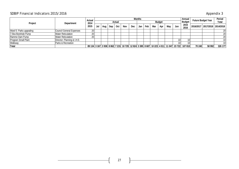# SDBIP Financial Indicators 2015/2016 and the state of the state of the state of the state of the Appendix 3

|                            |                               | <b>Actual</b> |  |           |               |     |     | Annual | <b>Future Budget Year</b> |     | <b>Period</b> |     |     |                                                                                             |        |        |                                   |
|----------------------------|-------------------------------|---------------|--|-----------|---------------|-----|-----|--------|---------------------------|-----|---------------|-----|-----|---------------------------------------------------------------------------------------------|--------|--------|-----------------------------------|
| Project<br>Department      |                               | 2014          |  |           | <b>Actual</b> |     |     |        |                           |     | <b>Budget</b> |     |     | <b>Budget</b>                                                                               |        |        | <b>Total</b>                      |
|                            |                               | 2015          |  | Aug   Sep | Oct           | Nov | Dec | Jan    | Feb                       | Mar | Apr           | May | Jun | 2015<br>2016                                                                                |        |        | 2016/2017   2017/2018   2014/2018 |
| Ward 5: Parks upgrading    | Council General Expenses      | ററ            |  |           |               |     |     |        |                           |     |               |     |     |                                                                                             |        |        | 20                                |
| 7.5kw Borehole Pump        | <b>Water Reticulation</b>     | ഹ             |  |           |               |     |     |        |                           |     |               |     |     |                                                                                             |        |        | 20                                |
| Ramme Dam Pump             | <b>Water Reticulation</b>     | ററ            |  |           |               |     |     |        |                           |     |               |     |     |                                                                                             |        |        | 20                                |
| <b>Program Small Plant</b> | Director: Planning & I.H.S    |               |  |           |               |     |     |        |                           |     |               |     |     |                                                                                             |        |        | 10 <sup>1</sup>                   |
| Walkway                    | <b>Parks &amp; Recreation</b> |               |  |           |               |     |     |        |                           |     |               |     |     |                                                                                             |        |        | 10 <sup>1</sup>                   |
| <b>Total</b>               |                               |               |  |           |               |     |     |        |                           |     |               |     |     | 89 134 3 167 3 938 8 862 7 215 10 729 12 824 3 385 8 687 10 223 4 011 11 047 23 722 107 810 | 70 240 | 58 992 | 326 177                           |